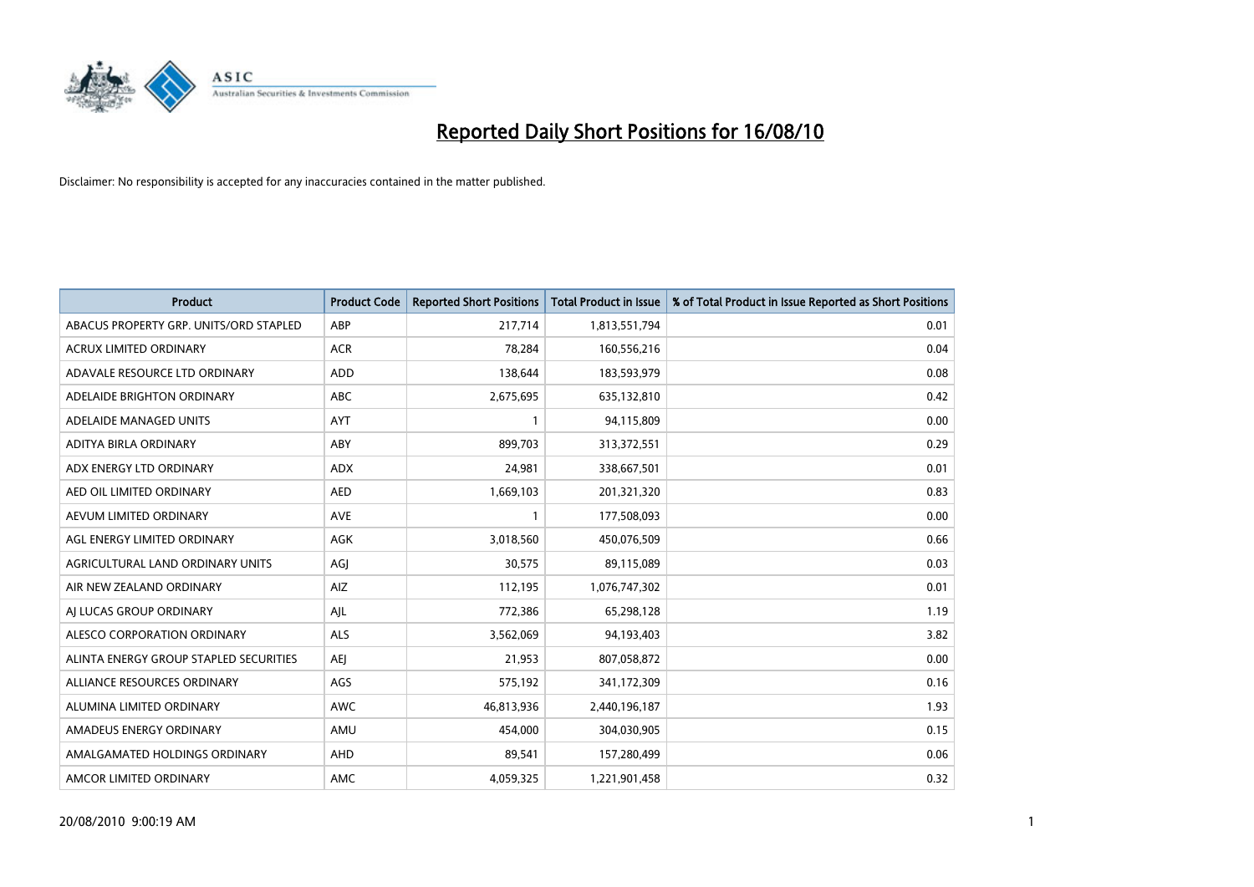

| <b>Product</b>                         | <b>Product Code</b> | <b>Reported Short Positions</b> | <b>Total Product in Issue</b> | % of Total Product in Issue Reported as Short Positions |
|----------------------------------------|---------------------|---------------------------------|-------------------------------|---------------------------------------------------------|
| ABACUS PROPERTY GRP. UNITS/ORD STAPLED | ABP                 | 217,714                         | 1,813,551,794                 | 0.01                                                    |
| ACRUX LIMITED ORDINARY                 | <b>ACR</b>          | 78,284                          | 160,556,216                   | 0.04                                                    |
| ADAVALE RESOURCE LTD ORDINARY          | <b>ADD</b>          | 138,644                         | 183,593,979                   | 0.08                                                    |
| ADELAIDE BRIGHTON ORDINARY             | ABC                 | 2,675,695                       | 635,132,810                   | 0.42                                                    |
| ADELAIDE MANAGED UNITS                 | AYT                 |                                 | 94,115,809                    | 0.00                                                    |
| ADITYA BIRLA ORDINARY                  | ABY                 | 899,703                         | 313,372,551                   | 0.29                                                    |
| ADX ENERGY LTD ORDINARY                | <b>ADX</b>          | 24,981                          | 338,667,501                   | 0.01                                                    |
| AED OIL LIMITED ORDINARY               | <b>AED</b>          | 1,669,103                       | 201,321,320                   | 0.83                                                    |
| AEVUM LIMITED ORDINARY                 | <b>AVE</b>          |                                 | 177,508,093                   | 0.00                                                    |
| AGL ENERGY LIMITED ORDINARY            | <b>AGK</b>          | 3,018,560                       | 450,076,509                   | 0.66                                                    |
| AGRICULTURAL LAND ORDINARY UNITS       | AGJ                 | 30,575                          | 89,115,089                    | 0.03                                                    |
| AIR NEW ZEALAND ORDINARY               | AIZ                 | 112,195                         | 1,076,747,302                 | 0.01                                                    |
| AI LUCAS GROUP ORDINARY                | AJL                 | 772,386                         | 65,298,128                    | 1.19                                                    |
| ALESCO CORPORATION ORDINARY            | <b>ALS</b>          | 3,562,069                       | 94,193,403                    | 3.82                                                    |
| ALINTA ENERGY GROUP STAPLED SECURITIES | <b>AEI</b>          | 21,953                          | 807,058,872                   | 0.00                                                    |
| ALLIANCE RESOURCES ORDINARY            | AGS                 | 575,192                         | 341,172,309                   | 0.16                                                    |
| ALUMINA LIMITED ORDINARY               | <b>AWC</b>          | 46,813,936                      | 2,440,196,187                 | 1.93                                                    |
| AMADEUS ENERGY ORDINARY                | AMU                 | 454,000                         | 304,030,905                   | 0.15                                                    |
| AMALGAMATED HOLDINGS ORDINARY          | AHD                 | 89,541                          | 157,280,499                   | 0.06                                                    |
| AMCOR LIMITED ORDINARY                 | <b>AMC</b>          | 4,059,325                       | 1,221,901,458                 | 0.32                                                    |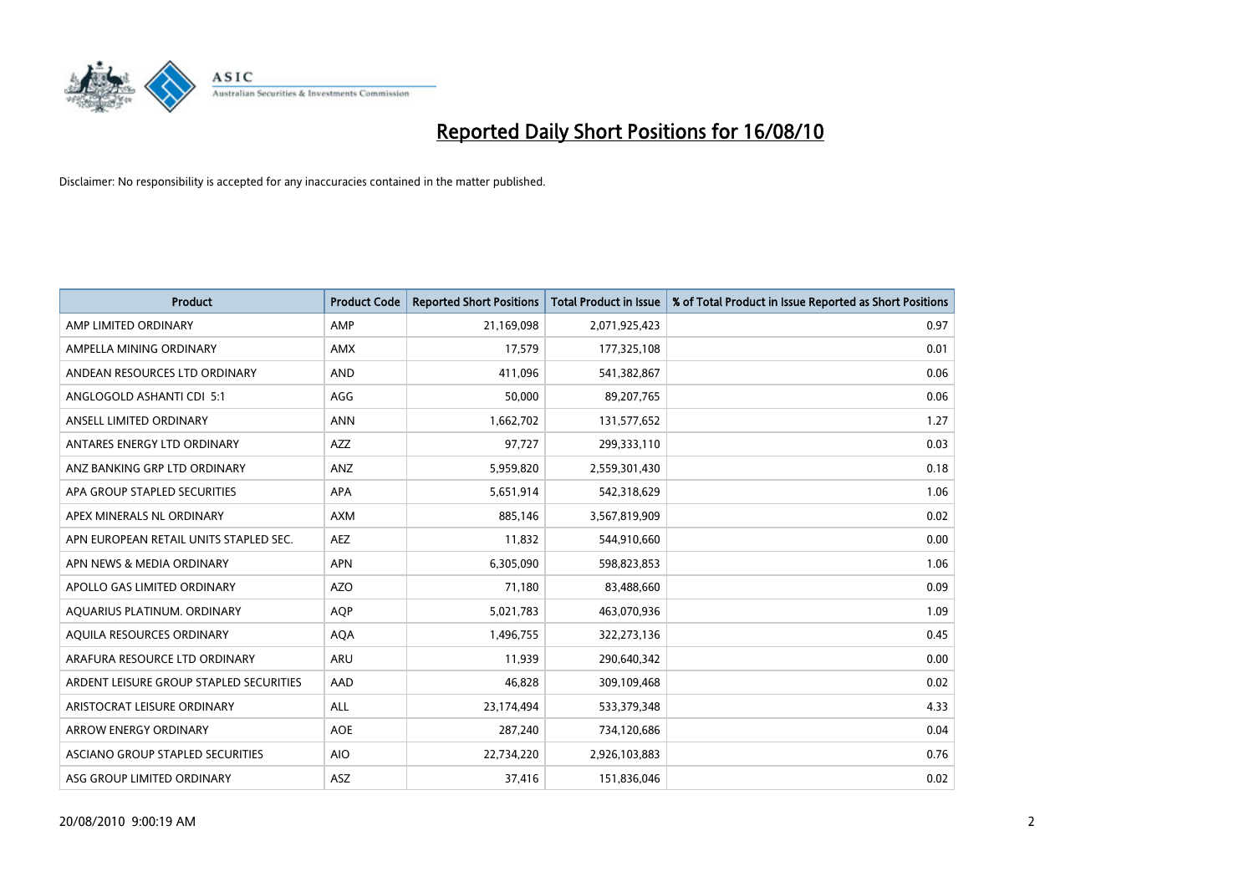

| <b>Product</b>                          | <b>Product Code</b> | <b>Reported Short Positions</b> | <b>Total Product in Issue</b> | % of Total Product in Issue Reported as Short Positions |
|-----------------------------------------|---------------------|---------------------------------|-------------------------------|---------------------------------------------------------|
| AMP LIMITED ORDINARY                    | AMP                 | 21,169,098                      | 2,071,925,423                 | 0.97                                                    |
| AMPELLA MINING ORDINARY                 | <b>AMX</b>          | 17,579                          | 177,325,108                   | 0.01                                                    |
| ANDEAN RESOURCES LTD ORDINARY           | <b>AND</b>          | 411,096                         | 541,382,867                   | 0.06                                                    |
| ANGLOGOLD ASHANTI CDI 5:1               | AGG                 | 50,000                          | 89,207,765                    | 0.06                                                    |
| ANSELL LIMITED ORDINARY                 | <b>ANN</b>          | 1,662,702                       | 131,577,652                   | 1.27                                                    |
| ANTARES ENERGY LTD ORDINARY             | <b>AZZ</b>          | 97,727                          | 299,333,110                   | 0.03                                                    |
| ANZ BANKING GRP LTD ORDINARY            | ANZ                 | 5,959,820                       | 2,559,301,430                 | 0.18                                                    |
| APA GROUP STAPLED SECURITIES            | <b>APA</b>          | 5,651,914                       | 542,318,629                   | 1.06                                                    |
| APEX MINERALS NL ORDINARY               | <b>AXM</b>          | 885,146                         | 3,567,819,909                 | 0.02                                                    |
| APN EUROPEAN RETAIL UNITS STAPLED SEC.  | <b>AEZ</b>          | 11,832                          | 544,910,660                   | 0.00                                                    |
| APN NEWS & MEDIA ORDINARY               | <b>APN</b>          | 6,305,090                       | 598,823,853                   | 1.06                                                    |
| APOLLO GAS LIMITED ORDINARY             | <b>AZO</b>          | 71,180                          | 83,488,660                    | 0.09                                                    |
| AQUARIUS PLATINUM. ORDINARY             | <b>AOP</b>          | 5,021,783                       | 463,070,936                   | 1.09                                                    |
| AQUILA RESOURCES ORDINARY               | <b>AQA</b>          | 1,496,755                       | 322,273,136                   | 0.45                                                    |
| ARAFURA RESOURCE LTD ORDINARY           | ARU                 | 11,939                          | 290,640,342                   | 0.00                                                    |
| ARDENT LEISURE GROUP STAPLED SECURITIES | AAD                 | 46,828                          | 309,109,468                   | 0.02                                                    |
| ARISTOCRAT LEISURE ORDINARY             | <b>ALL</b>          | 23,174,494                      | 533,379,348                   | 4.33                                                    |
| ARROW ENERGY ORDINARY                   | <b>AOE</b>          | 287,240                         | 734,120,686                   | 0.04                                                    |
| ASCIANO GROUP STAPLED SECURITIES        | <b>AIO</b>          | 22,734,220                      | 2,926,103,883                 | 0.76                                                    |
| ASG GROUP LIMITED ORDINARY              | <b>ASZ</b>          | 37,416                          | 151,836,046                   | 0.02                                                    |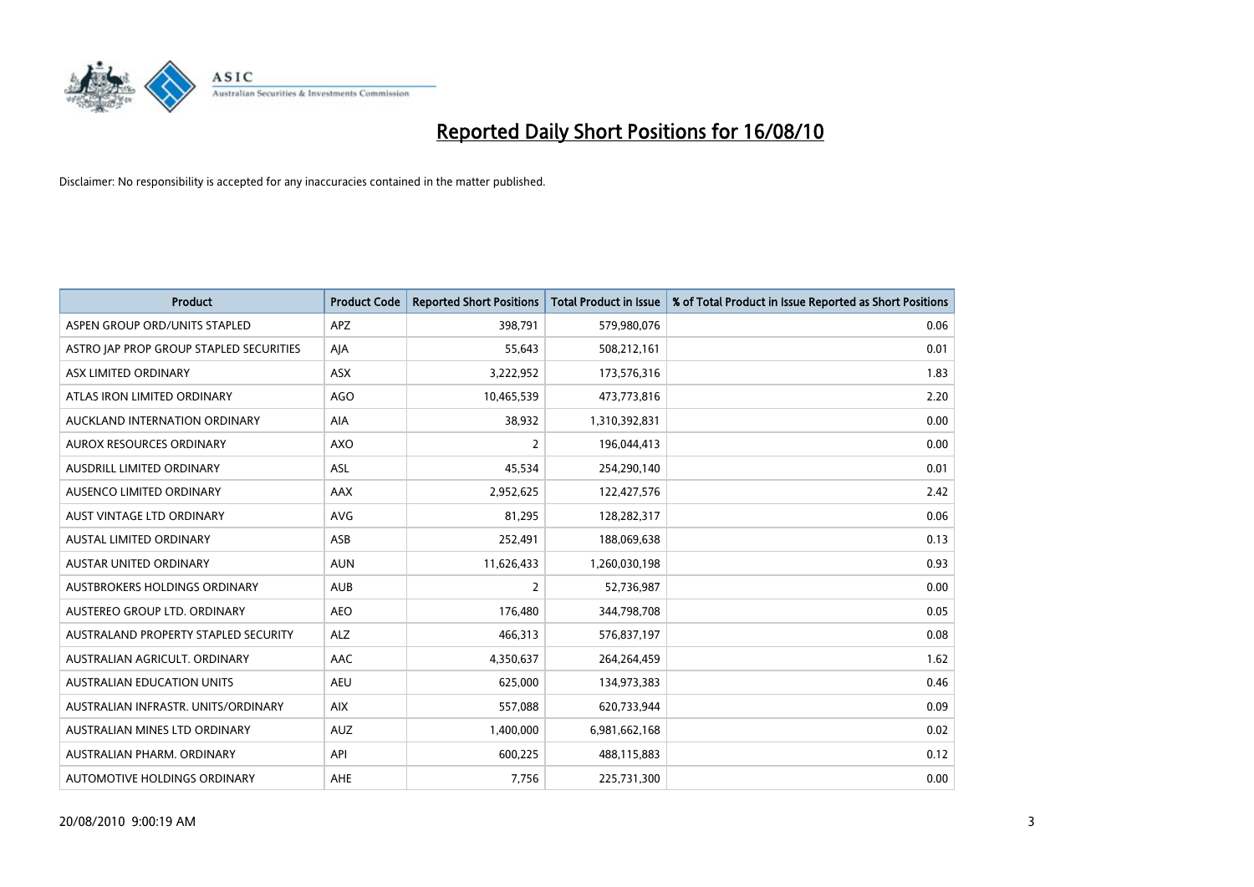

| <b>Product</b>                          | <b>Product Code</b> | <b>Reported Short Positions</b> | Total Product in Issue | % of Total Product in Issue Reported as Short Positions |
|-----------------------------------------|---------------------|---------------------------------|------------------------|---------------------------------------------------------|
| ASPEN GROUP ORD/UNITS STAPLED           | <b>APZ</b>          | 398,791                         | 579,980,076            | 0.06                                                    |
| ASTRO JAP PROP GROUP STAPLED SECURITIES | AJA                 | 55,643                          | 508,212,161            | 0.01                                                    |
| ASX LIMITED ORDINARY                    | <b>ASX</b>          | 3,222,952                       | 173,576,316            | 1.83                                                    |
| ATLAS IRON LIMITED ORDINARY             | <b>AGO</b>          | 10,465,539                      | 473,773,816            | 2.20                                                    |
| AUCKLAND INTERNATION ORDINARY           | <b>AIA</b>          | 38,932                          | 1,310,392,831          | 0.00                                                    |
| AUROX RESOURCES ORDINARY                | AXO                 | $\overline{2}$                  | 196,044,413            | 0.00                                                    |
| <b>AUSDRILL LIMITED ORDINARY</b>        | <b>ASL</b>          | 45,534                          | 254,290,140            | 0.01                                                    |
| AUSENCO LIMITED ORDINARY                | AAX                 | 2,952,625                       | 122,427,576            | 2.42                                                    |
| AUST VINTAGE LTD ORDINARY               | <b>AVG</b>          | 81,295                          | 128,282,317            | 0.06                                                    |
| AUSTAL LIMITED ORDINARY                 | ASB                 | 252,491                         | 188,069,638            | 0.13                                                    |
| <b>AUSTAR UNITED ORDINARY</b>           | <b>AUN</b>          | 11,626,433                      | 1,260,030,198          | 0.93                                                    |
| AUSTBROKERS HOLDINGS ORDINARY           | <b>AUB</b>          | 2                               | 52,736,987             | 0.00                                                    |
| AUSTEREO GROUP LTD. ORDINARY            | <b>AEO</b>          | 176,480                         | 344,798,708            | 0.05                                                    |
| AUSTRALAND PROPERTY STAPLED SECURITY    | <b>ALZ</b>          | 466,313                         | 576,837,197            | 0.08                                                    |
| AUSTRALIAN AGRICULT, ORDINARY           | AAC                 | 4,350,637                       | 264,264,459            | 1.62                                                    |
| AUSTRALIAN EDUCATION UNITS              | <b>AEU</b>          | 625,000                         | 134,973,383            | 0.46                                                    |
| AUSTRALIAN INFRASTR. UNITS/ORDINARY     | <b>AIX</b>          | 557,088                         | 620,733,944            | 0.09                                                    |
| AUSTRALIAN MINES LTD ORDINARY           | <b>AUZ</b>          | 1,400,000                       | 6,981,662,168          | 0.02                                                    |
| AUSTRALIAN PHARM, ORDINARY              | API                 | 600,225                         | 488,115,883            | 0.12                                                    |
| AUTOMOTIVE HOLDINGS ORDINARY            | AHE                 | 7,756                           | 225,731,300            | 0.00                                                    |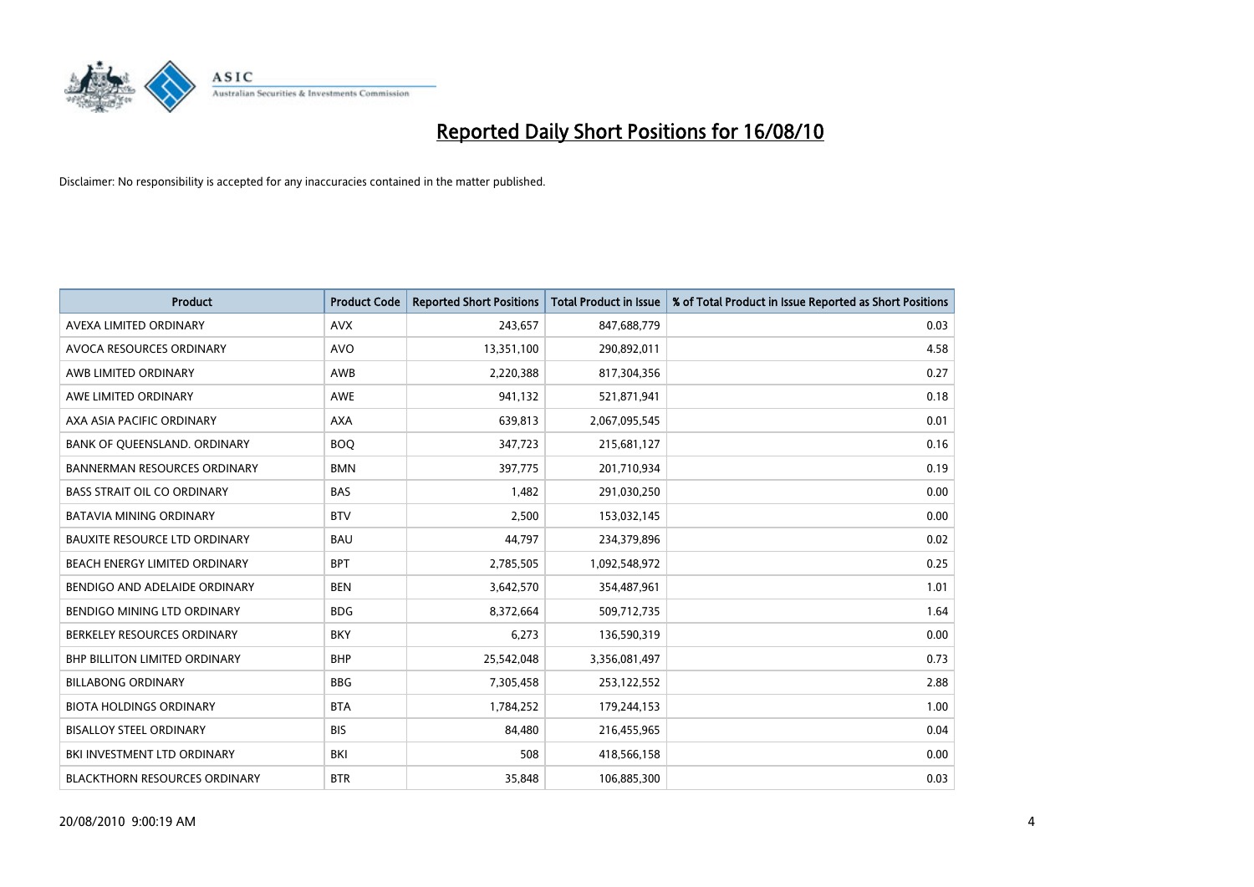

| <b>Product</b>                       | <b>Product Code</b> | <b>Reported Short Positions</b> | <b>Total Product in Issue</b> | % of Total Product in Issue Reported as Short Positions |
|--------------------------------------|---------------------|---------------------------------|-------------------------------|---------------------------------------------------------|
| AVEXA LIMITED ORDINARY               | <b>AVX</b>          | 243,657                         | 847,688,779                   | 0.03                                                    |
| AVOCA RESOURCES ORDINARY             | AVO                 | 13,351,100                      | 290,892,011                   | 4.58                                                    |
| AWB LIMITED ORDINARY                 | AWB                 | 2,220,388                       | 817,304,356                   | 0.27                                                    |
| AWE LIMITED ORDINARY                 | <b>AWE</b>          | 941,132                         | 521,871,941                   | 0.18                                                    |
| AXA ASIA PACIFIC ORDINARY            | <b>AXA</b>          | 639,813                         | 2,067,095,545                 | 0.01                                                    |
| BANK OF QUEENSLAND. ORDINARY         | <b>BOQ</b>          | 347,723                         | 215,681,127                   | 0.16                                                    |
| <b>BANNERMAN RESOURCES ORDINARY</b>  | <b>BMN</b>          | 397,775                         | 201,710,934                   | 0.19                                                    |
| <b>BASS STRAIT OIL CO ORDINARY</b>   | <b>BAS</b>          | 1,482                           | 291,030,250                   | 0.00                                                    |
| <b>BATAVIA MINING ORDINARY</b>       | <b>BTV</b>          | 2,500                           | 153,032,145                   | 0.00                                                    |
| <b>BAUXITE RESOURCE LTD ORDINARY</b> | <b>BAU</b>          | 44,797                          | 234,379,896                   | 0.02                                                    |
| BEACH ENERGY LIMITED ORDINARY        | <b>BPT</b>          | 2,785,505                       | 1,092,548,972                 | 0.25                                                    |
| BENDIGO AND ADELAIDE ORDINARY        | <b>BEN</b>          | 3,642,570                       | 354,487,961                   | 1.01                                                    |
| BENDIGO MINING LTD ORDINARY          | <b>BDG</b>          | 8,372,664                       | 509,712,735                   | 1.64                                                    |
| BERKELEY RESOURCES ORDINARY          | <b>BKY</b>          | 6,273                           | 136,590,319                   | 0.00                                                    |
| <b>BHP BILLITON LIMITED ORDINARY</b> | <b>BHP</b>          | 25,542,048                      | 3,356,081,497                 | 0.73                                                    |
| <b>BILLABONG ORDINARY</b>            | <b>BBG</b>          | 7,305,458                       | 253,122,552                   | 2.88                                                    |
| <b>BIOTA HOLDINGS ORDINARY</b>       | <b>BTA</b>          | 1,784,252                       | 179,244,153                   | 1.00                                                    |
| <b>BISALLOY STEEL ORDINARY</b>       | <b>BIS</b>          | 84,480                          | 216,455,965                   | 0.04                                                    |
| BKI INVESTMENT LTD ORDINARY          | <b>BKI</b>          | 508                             | 418,566,158                   | 0.00                                                    |
| <b>BLACKTHORN RESOURCES ORDINARY</b> | <b>BTR</b>          | 35,848                          | 106,885,300                   | 0.03                                                    |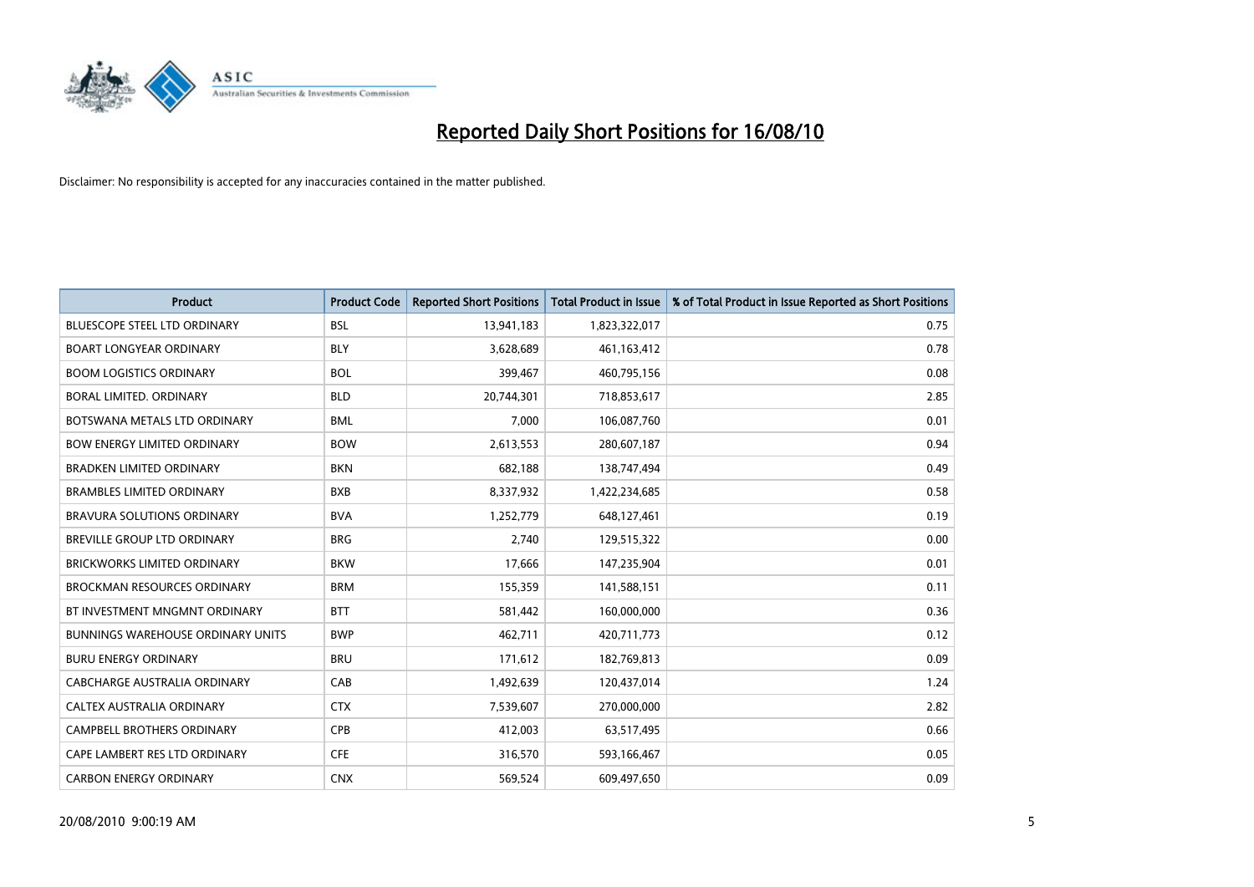

| <b>Product</b>                           | <b>Product Code</b> | <b>Reported Short Positions</b> | Total Product in Issue | % of Total Product in Issue Reported as Short Positions |
|------------------------------------------|---------------------|---------------------------------|------------------------|---------------------------------------------------------|
| <b>BLUESCOPE STEEL LTD ORDINARY</b>      | <b>BSL</b>          | 13,941,183                      | 1,823,322,017          | 0.75                                                    |
| <b>BOART LONGYEAR ORDINARY</b>           | <b>BLY</b>          | 3,628,689                       | 461,163,412            | 0.78                                                    |
| <b>BOOM LOGISTICS ORDINARY</b>           | <b>BOL</b>          | 399,467                         | 460,795,156            | 0.08                                                    |
| BORAL LIMITED. ORDINARY                  | <b>BLD</b>          | 20,744,301                      | 718,853,617            | 2.85                                                    |
| BOTSWANA METALS LTD ORDINARY             | <b>BML</b>          | 7,000                           | 106,087,760            | 0.01                                                    |
| <b>BOW ENERGY LIMITED ORDINARY</b>       | <b>BOW</b>          | 2,613,553                       | 280,607,187            | 0.94                                                    |
| <b>BRADKEN LIMITED ORDINARY</b>          | <b>BKN</b>          | 682.188                         | 138,747,494            | 0.49                                                    |
| <b>BRAMBLES LIMITED ORDINARY</b>         | <b>BXB</b>          | 8,337,932                       | 1,422,234,685          | 0.58                                                    |
| BRAVURA SOLUTIONS ORDINARY               | <b>BVA</b>          | 1,252,779                       | 648,127,461            | 0.19                                                    |
| <b>BREVILLE GROUP LTD ORDINARY</b>       | <b>BRG</b>          | 2.740                           | 129,515,322            | 0.00                                                    |
| <b>BRICKWORKS LIMITED ORDINARY</b>       | <b>BKW</b>          | 17,666                          | 147,235,904            | 0.01                                                    |
| <b>BROCKMAN RESOURCES ORDINARY</b>       | <b>BRM</b>          | 155,359                         | 141,588,151            | 0.11                                                    |
| BT INVESTMENT MNGMNT ORDINARY            | <b>BTT</b>          | 581,442                         | 160,000,000            | 0.36                                                    |
| <b>BUNNINGS WAREHOUSE ORDINARY UNITS</b> | <b>BWP</b>          | 462,711                         | 420,711,773            | 0.12                                                    |
| <b>BURU ENERGY ORDINARY</b>              | <b>BRU</b>          | 171,612                         | 182,769,813            | 0.09                                                    |
| CABCHARGE AUSTRALIA ORDINARY             | CAB                 | 1,492,639                       | 120,437,014            | 1.24                                                    |
| <b>CALTEX AUSTRALIA ORDINARY</b>         | <b>CTX</b>          | 7,539,607                       | 270,000,000            | 2.82                                                    |
| CAMPBELL BROTHERS ORDINARY               | <b>CPB</b>          | 412,003                         | 63,517,495             | 0.66                                                    |
| CAPE LAMBERT RES LTD ORDINARY            | <b>CFE</b>          | 316,570                         | 593,166,467            | 0.05                                                    |
| <b>CARBON ENERGY ORDINARY</b>            | <b>CNX</b>          | 569,524                         | 609.497.650            | 0.09                                                    |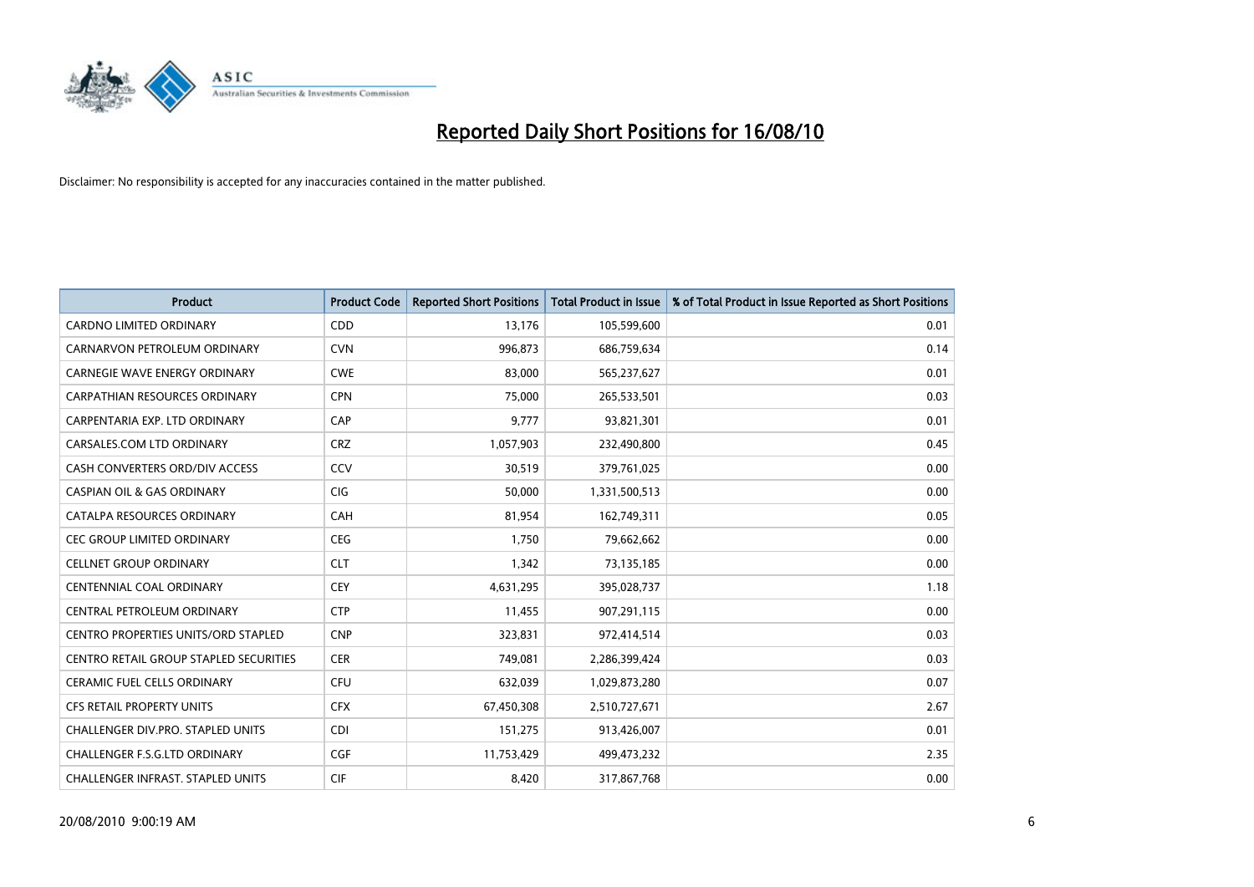

| <b>Product</b>                                | <b>Product Code</b> | <b>Reported Short Positions</b> | <b>Total Product in Issue</b> | % of Total Product in Issue Reported as Short Positions |
|-----------------------------------------------|---------------------|---------------------------------|-------------------------------|---------------------------------------------------------|
| <b>CARDNO LIMITED ORDINARY</b>                | CDD                 | 13,176                          | 105,599,600                   | 0.01                                                    |
| CARNARVON PETROLEUM ORDINARY                  | <b>CVN</b>          | 996,873                         | 686,759,634                   | 0.14                                                    |
| <b>CARNEGIE WAVE ENERGY ORDINARY</b>          | <b>CWE</b>          | 83,000                          | 565,237,627                   | 0.01                                                    |
| CARPATHIAN RESOURCES ORDINARY                 | <b>CPN</b>          | 75,000                          | 265,533,501                   | 0.03                                                    |
| CARPENTARIA EXP. LTD ORDINARY                 | CAP                 | 9,777                           | 93,821,301                    | 0.01                                                    |
| CARSALES.COM LTD ORDINARY                     | <b>CRZ</b>          | 1,057,903                       | 232,490,800                   | 0.45                                                    |
| CASH CONVERTERS ORD/DIV ACCESS                | CCV                 | 30,519                          | 379,761,025                   | 0.00                                                    |
| <b>CASPIAN OIL &amp; GAS ORDINARY</b>         | <b>CIG</b>          | 50.000                          | 1,331,500,513                 | 0.00                                                    |
| CATALPA RESOURCES ORDINARY                    | CAH                 | 81,954                          | 162,749,311                   | 0.05                                                    |
| <b>CEC GROUP LIMITED ORDINARY</b>             | <b>CEG</b>          | 1,750                           | 79,662,662                    | 0.00                                                    |
| <b>CELLNET GROUP ORDINARY</b>                 | <b>CLT</b>          | 1,342                           | 73,135,185                    | 0.00                                                    |
| <b>CENTENNIAL COAL ORDINARY</b>               | <b>CEY</b>          | 4,631,295                       | 395,028,737                   | 1.18                                                    |
| CENTRAL PETROLEUM ORDINARY                    | <b>CTP</b>          | 11,455                          | 907,291,115                   | 0.00                                                    |
| <b>CENTRO PROPERTIES UNITS/ORD STAPLED</b>    | <b>CNP</b>          | 323,831                         | 972,414,514                   | 0.03                                                    |
| <b>CENTRO RETAIL GROUP STAPLED SECURITIES</b> | <b>CER</b>          | 749,081                         | 2,286,399,424                 | 0.03                                                    |
| <b>CERAMIC FUEL CELLS ORDINARY</b>            | <b>CFU</b>          | 632,039                         | 1,029,873,280                 | 0.07                                                    |
| CFS RETAIL PROPERTY UNITS                     | <b>CFX</b>          | 67,450,308                      | 2,510,727,671                 | 2.67                                                    |
| <b>CHALLENGER DIV.PRO. STAPLED UNITS</b>      | <b>CDI</b>          | 151,275                         | 913,426,007                   | 0.01                                                    |
| <b>CHALLENGER F.S.G.LTD ORDINARY</b>          | <b>CGF</b>          | 11,753,429                      | 499,473,232                   | 2.35                                                    |
| CHALLENGER INFRAST. STAPLED UNITS             | <b>CIF</b>          | 8,420                           | 317,867,768                   | 0.00                                                    |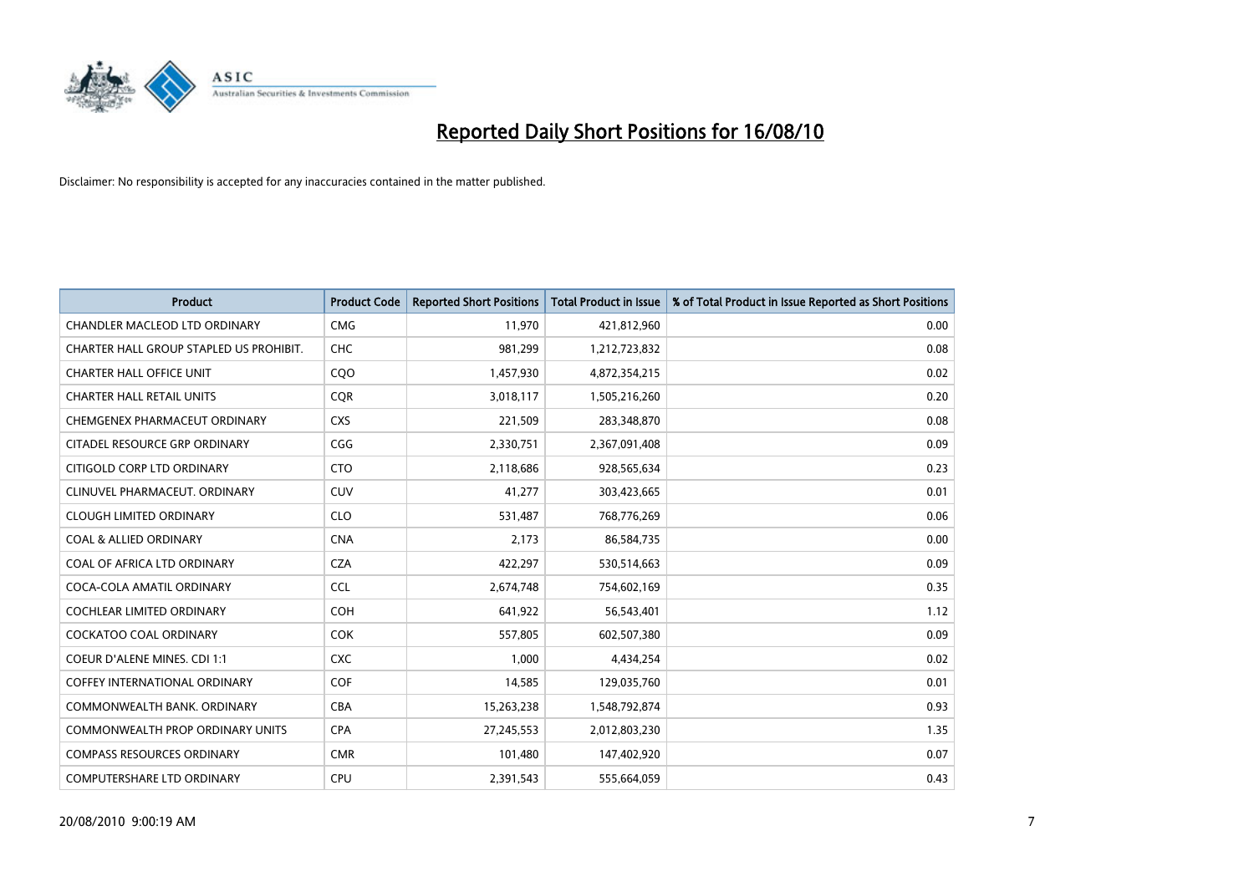

| <b>Product</b>                          | <b>Product Code</b> | <b>Reported Short Positions</b> | Total Product in Issue | % of Total Product in Issue Reported as Short Positions |
|-----------------------------------------|---------------------|---------------------------------|------------------------|---------------------------------------------------------|
| <b>CHANDLER MACLEOD LTD ORDINARY</b>    | <b>CMG</b>          | 11,970                          | 421,812,960            | 0.00                                                    |
| CHARTER HALL GROUP STAPLED US PROHIBIT. | <b>CHC</b>          | 981,299                         | 1,212,723,832          | 0.08                                                    |
| <b>CHARTER HALL OFFICE UNIT</b>         | CQO                 | 1,457,930                       | 4,872,354,215          | 0.02                                                    |
| <b>CHARTER HALL RETAIL UNITS</b>        | <b>COR</b>          | 3,018,117                       | 1,505,216,260          | 0.20                                                    |
| CHEMGENEX PHARMACEUT ORDINARY           | <b>CXS</b>          | 221,509                         | 283,348,870            | 0.08                                                    |
| CITADEL RESOURCE GRP ORDINARY           | CGG                 | 2,330,751                       | 2,367,091,408          | 0.09                                                    |
| CITIGOLD CORP LTD ORDINARY              | <b>CTO</b>          | 2,118,686                       | 928,565,634            | 0.23                                                    |
| CLINUVEL PHARMACEUT, ORDINARY           | <b>CUV</b>          | 41,277                          | 303,423,665            | 0.01                                                    |
| <b>CLOUGH LIMITED ORDINARY</b>          | <b>CLO</b>          | 531,487                         | 768,776,269            | 0.06                                                    |
| <b>COAL &amp; ALLIED ORDINARY</b>       | <b>CNA</b>          | 2.173                           | 86,584,735             | 0.00                                                    |
| COAL OF AFRICA LTD ORDINARY             | <b>CZA</b>          | 422,297                         | 530,514,663            | 0.09                                                    |
| COCA-COLA AMATIL ORDINARY               | <b>CCL</b>          | 2,674,748                       | 754,602,169            | 0.35                                                    |
| <b>COCHLEAR LIMITED ORDINARY</b>        | <b>COH</b>          | 641.922                         | 56,543,401             | 1.12                                                    |
| <b>COCKATOO COAL ORDINARY</b>           | <b>COK</b>          | 557.805                         | 602,507,380            | 0.09                                                    |
| COEUR D'ALENE MINES. CDI 1:1            | <b>CXC</b>          | 1,000                           | 4,434,254              | 0.02                                                    |
| <b>COFFEY INTERNATIONAL ORDINARY</b>    | <b>COF</b>          | 14,585                          | 129,035,760            | 0.01                                                    |
| COMMONWEALTH BANK, ORDINARY             | <b>CBA</b>          | 15,263,238                      | 1,548,792,874          | 0.93                                                    |
| <b>COMMONWEALTH PROP ORDINARY UNITS</b> | <b>CPA</b>          | 27,245,553                      | 2,012,803,230          | 1.35                                                    |
| <b>COMPASS RESOURCES ORDINARY</b>       | <b>CMR</b>          | 101,480                         | 147,402,920            | 0.07                                                    |
| <b>COMPUTERSHARE LTD ORDINARY</b>       | <b>CPU</b>          | 2.391.543                       | 555,664,059            | 0.43                                                    |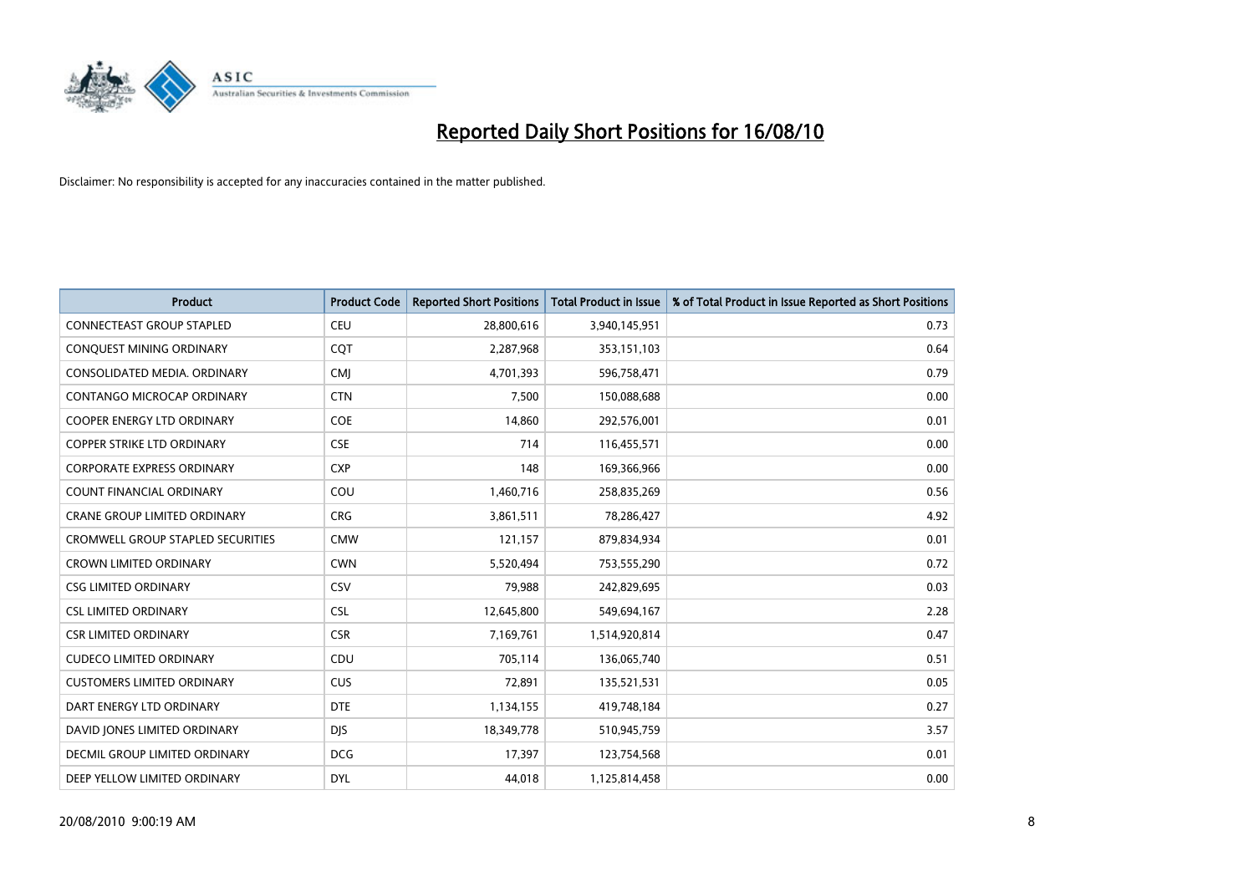

| <b>Product</b>                           | <b>Product Code</b> | <b>Reported Short Positions</b> | Total Product in Issue | % of Total Product in Issue Reported as Short Positions |
|------------------------------------------|---------------------|---------------------------------|------------------------|---------------------------------------------------------|
| <b>CONNECTEAST GROUP STAPLED</b>         | <b>CEU</b>          | 28,800,616                      | 3,940,145,951          | 0.73                                                    |
| CONQUEST MINING ORDINARY                 | COT                 | 2,287,968                       | 353,151,103            | 0.64                                                    |
| CONSOLIDATED MEDIA, ORDINARY             | <b>CMJ</b>          | 4,701,393                       | 596,758,471            | 0.79                                                    |
| CONTANGO MICROCAP ORDINARY               | <b>CTN</b>          | 7,500                           | 150,088,688            | 0.00                                                    |
| <b>COOPER ENERGY LTD ORDINARY</b>        | <b>COE</b>          | 14.860                          | 292,576,001            | 0.01                                                    |
| <b>COPPER STRIKE LTD ORDINARY</b>        | <b>CSE</b>          | 714                             | 116,455,571            | 0.00                                                    |
| <b>CORPORATE EXPRESS ORDINARY</b>        | <b>CXP</b>          | 148                             | 169,366,966            | 0.00                                                    |
| <b>COUNT FINANCIAL ORDINARY</b>          | COU                 | 1,460,716                       | 258,835,269            | 0.56                                                    |
| CRANE GROUP LIMITED ORDINARY             | <b>CRG</b>          | 3,861,511                       | 78,286,427             | 4.92                                                    |
| <b>CROMWELL GROUP STAPLED SECURITIES</b> | <b>CMW</b>          | 121.157                         | 879,834,934            | 0.01                                                    |
| <b>CROWN LIMITED ORDINARY</b>            | <b>CWN</b>          | 5,520,494                       | 753,555,290            | 0.72                                                    |
| <b>CSG LIMITED ORDINARY</b>              | CSV                 | 79,988                          | 242,829,695            | 0.03                                                    |
| <b>CSL LIMITED ORDINARY</b>              | <b>CSL</b>          | 12,645,800                      | 549,694,167            | 2.28                                                    |
| <b>CSR LIMITED ORDINARY</b>              | <b>CSR</b>          | 7,169,761                       | 1,514,920,814          | 0.47                                                    |
| <b>CUDECO LIMITED ORDINARY</b>           | CDU                 | 705,114                         | 136,065,740            | 0.51                                                    |
| <b>CUSTOMERS LIMITED ORDINARY</b>        | <b>CUS</b>          | 72,891                          | 135,521,531            | 0.05                                                    |
| DART ENERGY LTD ORDINARY                 | <b>DTE</b>          | 1,134,155                       | 419,748,184            | 0.27                                                    |
| DAVID JONES LIMITED ORDINARY             | <b>DJS</b>          | 18,349,778                      | 510,945,759            | 3.57                                                    |
| DECMIL GROUP LIMITED ORDINARY            | <b>DCG</b>          | 17,397                          | 123,754,568            | 0.01                                                    |
| DEEP YELLOW LIMITED ORDINARY             | <b>DYL</b>          | 44.018                          | 1,125,814,458          | 0.00                                                    |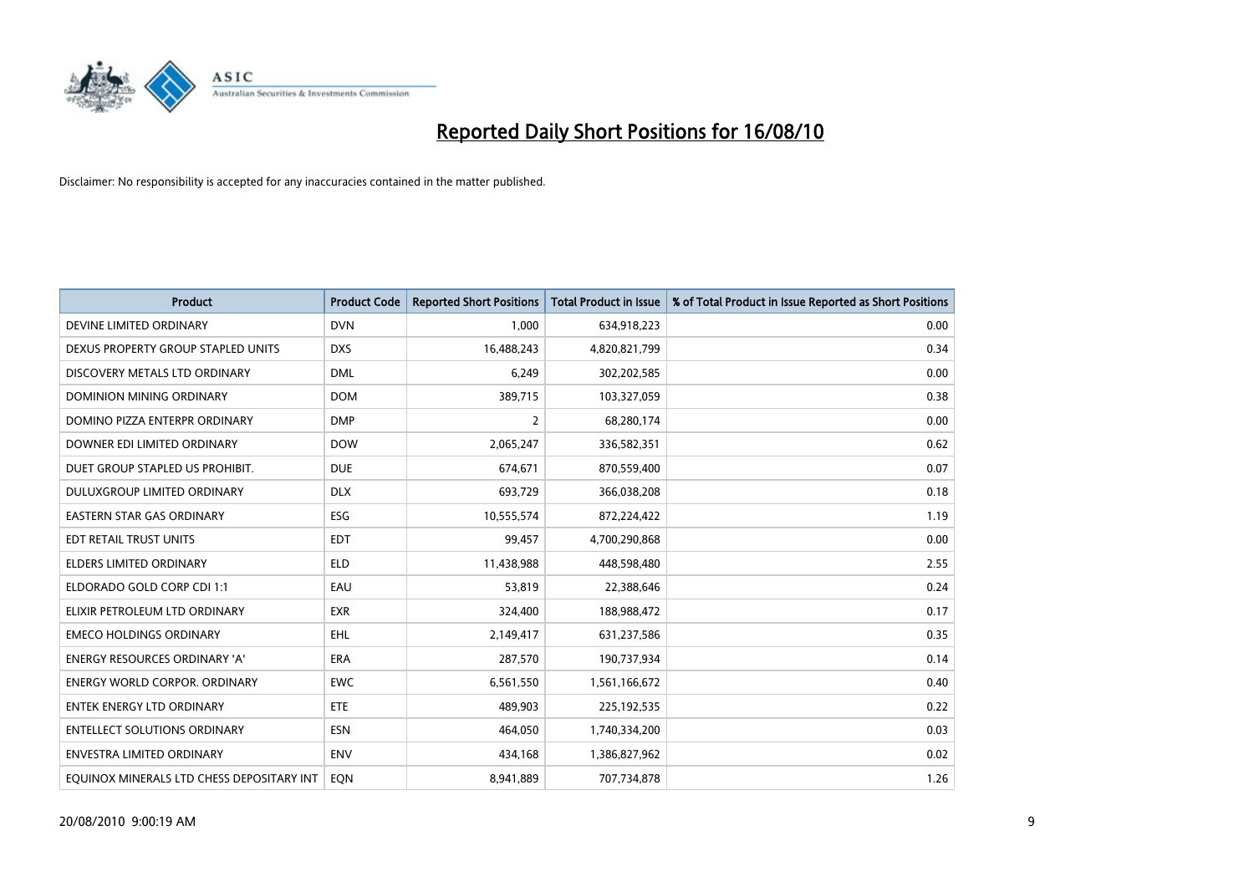

| <b>Product</b>                            | <b>Product Code</b> | <b>Reported Short Positions</b> | <b>Total Product in Issue</b> | % of Total Product in Issue Reported as Short Positions |
|-------------------------------------------|---------------------|---------------------------------|-------------------------------|---------------------------------------------------------|
| DEVINE LIMITED ORDINARY                   | <b>DVN</b>          | 1,000                           | 634,918,223                   | 0.00                                                    |
| DEXUS PROPERTY GROUP STAPLED UNITS        | <b>DXS</b>          | 16,488,243                      | 4,820,821,799                 | 0.34                                                    |
| DISCOVERY METALS LTD ORDINARY             | <b>DML</b>          | 6,249                           | 302,202,585                   | 0.00                                                    |
| DOMINION MINING ORDINARY                  | <b>DOM</b>          | 389,715                         | 103,327,059                   | 0.38                                                    |
| DOMINO PIZZA ENTERPR ORDINARY             | <b>DMP</b>          | $\overline{2}$                  | 68,280,174                    | 0.00                                                    |
| DOWNER EDI LIMITED ORDINARY               | <b>DOW</b>          | 2,065,247                       | 336,582,351                   | 0.62                                                    |
| DUET GROUP STAPLED US PROHIBIT.           | <b>DUE</b>          | 674,671                         | 870,559,400                   | 0.07                                                    |
| DULUXGROUP LIMITED ORDINARY               | <b>DLX</b>          | 693,729                         | 366,038,208                   | 0.18                                                    |
| EASTERN STAR GAS ORDINARY                 | ESG                 | 10,555,574                      | 872,224,422                   | 1.19                                                    |
| EDT RETAIL TRUST UNITS                    | <b>EDT</b>          | 99,457                          | 4,700,290,868                 | 0.00                                                    |
| <b>ELDERS LIMITED ORDINARY</b>            | <b>ELD</b>          | 11,438,988                      | 448,598,480                   | 2.55                                                    |
| ELDORADO GOLD CORP CDI 1:1                | EAU                 | 53,819                          | 22,388,646                    | 0.24                                                    |
| ELIXIR PETROLEUM LTD ORDINARY             | <b>EXR</b>          | 324,400                         | 188,988,472                   | 0.17                                                    |
| <b>EMECO HOLDINGS ORDINARY</b>            | <b>EHL</b>          | 2,149,417                       | 631,237,586                   | 0.35                                                    |
| <b>ENERGY RESOURCES ORDINARY 'A'</b>      | <b>ERA</b>          | 287,570                         | 190,737,934                   | 0.14                                                    |
| <b>ENERGY WORLD CORPOR. ORDINARY</b>      | <b>EWC</b>          | 6,561,550                       | 1,561,166,672                 | 0.40                                                    |
| <b>ENTEK ENERGY LTD ORDINARY</b>          | ETE                 | 489,903                         | 225,192,535                   | 0.22                                                    |
| <b>ENTELLECT SOLUTIONS ORDINARY</b>       | <b>ESN</b>          | 464,050                         | 1,740,334,200                 | 0.03                                                    |
| <b>ENVESTRA LIMITED ORDINARY</b>          | <b>ENV</b>          | 434,168                         | 1,386,827,962                 | 0.02                                                    |
| EQUINOX MINERALS LTD CHESS DEPOSITARY INT | <b>EON</b>          | 8,941,889                       | 707,734,878                   | 1.26                                                    |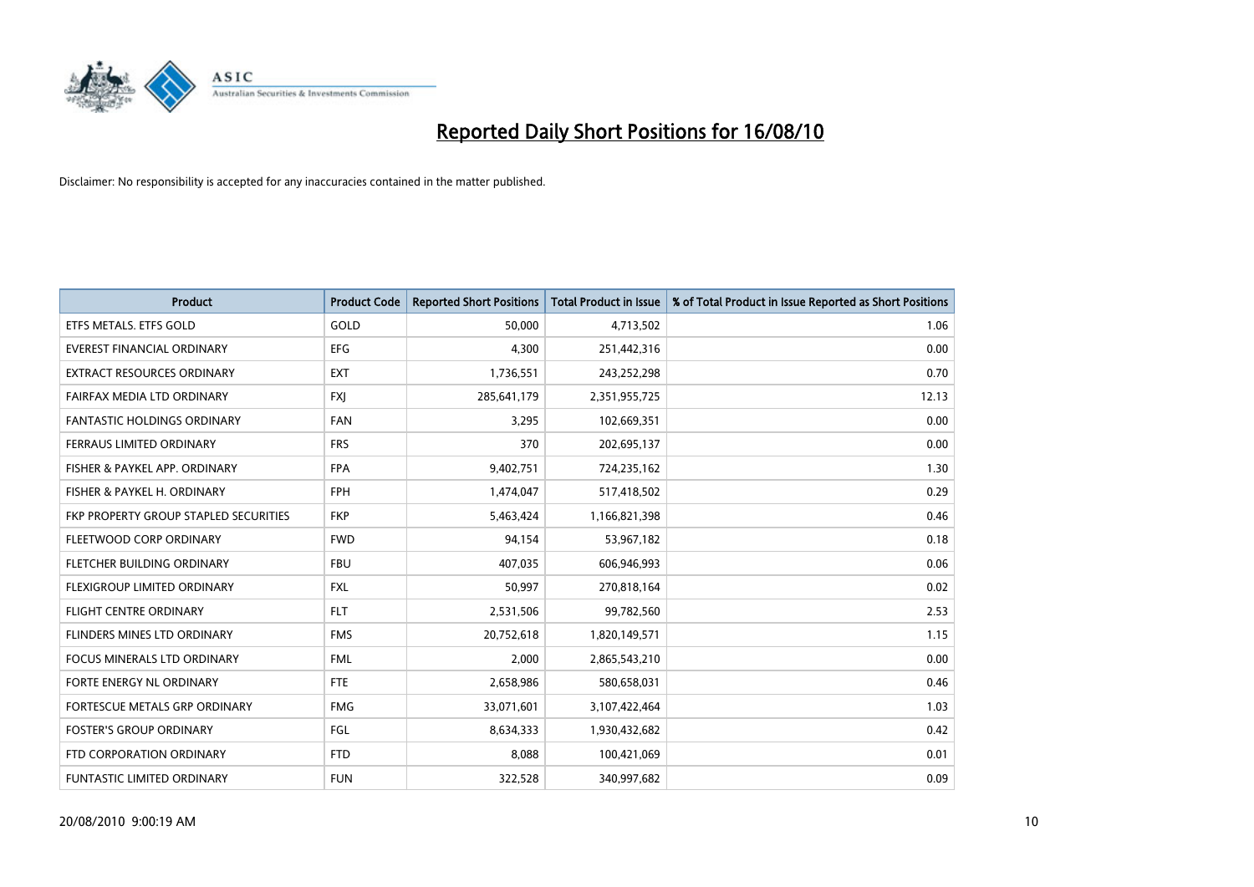

| <b>Product</b>                        | <b>Product Code</b> | <b>Reported Short Positions</b> | <b>Total Product in Issue</b> | % of Total Product in Issue Reported as Short Positions |
|---------------------------------------|---------------------|---------------------------------|-------------------------------|---------------------------------------------------------|
| ETFS METALS. ETFS GOLD                | GOLD                | 50.000                          | 4,713,502                     | 1.06                                                    |
| EVEREST FINANCIAL ORDINARY            | <b>EFG</b>          | 4,300                           | 251,442,316                   | 0.00                                                    |
| <b>EXTRACT RESOURCES ORDINARY</b>     | <b>EXT</b>          | 1,736,551                       | 243,252,298                   | 0.70                                                    |
| FAIRFAX MEDIA LTD ORDINARY            | <b>FXJ</b>          | 285,641,179                     | 2,351,955,725                 | 12.13                                                   |
| <b>FANTASTIC HOLDINGS ORDINARY</b>    | <b>FAN</b>          | 3,295                           | 102,669,351                   | 0.00                                                    |
| FERRAUS LIMITED ORDINARY              | <b>FRS</b>          | 370                             | 202,695,137                   | 0.00                                                    |
| FISHER & PAYKEL APP. ORDINARY         | <b>FPA</b>          | 9,402,751                       | 724,235,162                   | 1.30                                                    |
| FISHER & PAYKEL H. ORDINARY           | <b>FPH</b>          | 1,474,047                       | 517,418,502                   | 0.29                                                    |
| FKP PROPERTY GROUP STAPLED SECURITIES | <b>FKP</b>          | 5,463,424                       | 1,166,821,398                 | 0.46                                                    |
| FLEETWOOD CORP ORDINARY               | <b>FWD</b>          | 94,154                          | 53,967,182                    | 0.18                                                    |
| FLETCHER BUILDING ORDINARY            | <b>FBU</b>          | 407,035                         | 606,946,993                   | 0.06                                                    |
| FLEXIGROUP LIMITED ORDINARY           | <b>FXL</b>          | 50,997                          | 270,818,164                   | 0.02                                                    |
| <b>FLIGHT CENTRE ORDINARY</b>         | <b>FLT</b>          | 2,531,506                       | 99,782,560                    | 2.53                                                    |
| FLINDERS MINES LTD ORDINARY           | <b>FMS</b>          | 20,752,618                      | 1,820,149,571                 | 1.15                                                    |
| <b>FOCUS MINERALS LTD ORDINARY</b>    | <b>FML</b>          | 2,000                           | 2,865,543,210                 | 0.00                                                    |
| FORTE ENERGY NL ORDINARY              | <b>FTE</b>          | 2,658,986                       | 580,658,031                   | 0.46                                                    |
| FORTESCUE METALS GRP ORDINARY         | <b>FMG</b>          | 33,071,601                      | 3,107,422,464                 | 1.03                                                    |
| <b>FOSTER'S GROUP ORDINARY</b>        | <b>FGL</b>          | 8,634,333                       | 1,930,432,682                 | 0.42                                                    |
| FTD CORPORATION ORDINARY              | <b>FTD</b>          | 8,088                           | 100,421,069                   | 0.01                                                    |
| FUNTASTIC LIMITED ORDINARY            | <b>FUN</b>          | 322,528                         | 340,997,682                   | 0.09                                                    |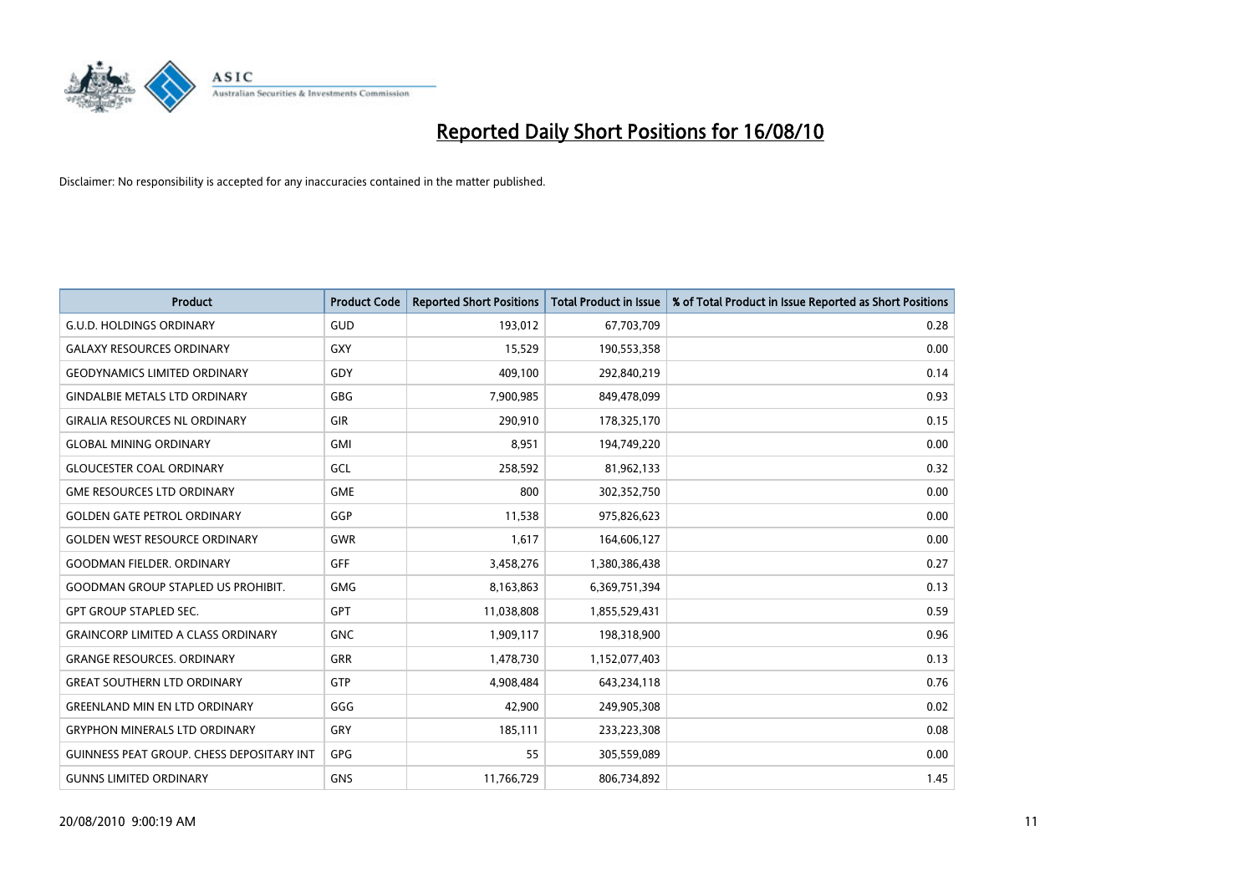

| <b>Product</b>                                   | <b>Product Code</b> | <b>Reported Short Positions</b> | <b>Total Product in Issue</b> | % of Total Product in Issue Reported as Short Positions |
|--------------------------------------------------|---------------------|---------------------------------|-------------------------------|---------------------------------------------------------|
| <b>G.U.D. HOLDINGS ORDINARY</b>                  | GUD                 | 193,012                         | 67,703,709                    | 0.28                                                    |
| <b>GALAXY RESOURCES ORDINARY</b>                 | <b>GXY</b>          | 15,529                          | 190,553,358                   | 0.00                                                    |
| <b>GEODYNAMICS LIMITED ORDINARY</b>              | GDY                 | 409,100                         | 292,840,219                   | 0.14                                                    |
| <b>GINDALBIE METALS LTD ORDINARY</b>             | <b>GBG</b>          | 7,900,985                       | 849,478,099                   | 0.93                                                    |
| <b>GIRALIA RESOURCES NL ORDINARY</b>             | <b>GIR</b>          | 290,910                         | 178,325,170                   | 0.15                                                    |
| <b>GLOBAL MINING ORDINARY</b>                    | <b>GMI</b>          | 8,951                           | 194,749,220                   | 0.00                                                    |
| <b>GLOUCESTER COAL ORDINARY</b>                  | GCL                 | 258,592                         | 81,962,133                    | 0.32                                                    |
| <b>GME RESOURCES LTD ORDINARY</b>                | <b>GME</b>          | 800                             | 302,352,750                   | 0.00                                                    |
| <b>GOLDEN GATE PETROL ORDINARY</b>               | GGP                 | 11,538                          | 975,826,623                   | 0.00                                                    |
| <b>GOLDEN WEST RESOURCE ORDINARY</b>             | <b>GWR</b>          | 1,617                           | 164,606,127                   | 0.00                                                    |
| <b>GOODMAN FIELDER. ORDINARY</b>                 | <b>GFF</b>          | 3,458,276                       | 1,380,386,438                 | 0.27                                                    |
| <b>GOODMAN GROUP STAPLED US PROHIBIT.</b>        | <b>GMG</b>          | 8,163,863                       | 6,369,751,394                 | 0.13                                                    |
| <b>GPT GROUP STAPLED SEC.</b>                    | GPT                 | 11,038,808                      | 1,855,529,431                 | 0.59                                                    |
| <b>GRAINCORP LIMITED A CLASS ORDINARY</b>        | <b>GNC</b>          | 1,909,117                       | 198,318,900                   | 0.96                                                    |
| <b>GRANGE RESOURCES, ORDINARY</b>                | GRR                 | 1,478,730                       | 1,152,077,403                 | 0.13                                                    |
| <b>GREAT SOUTHERN LTD ORDINARY</b>               | <b>GTP</b>          | 4,908,484                       | 643,234,118                   | 0.76                                                    |
| <b>GREENLAND MIN EN LTD ORDINARY</b>             | GGG                 | 42,900                          | 249,905,308                   | 0.02                                                    |
| <b>GRYPHON MINERALS LTD ORDINARY</b>             | GRY                 | 185,111                         | 233,223,308                   | 0.08                                                    |
| <b>GUINNESS PEAT GROUP. CHESS DEPOSITARY INT</b> | GPG                 | 55                              | 305,559,089                   | 0.00                                                    |
| <b>GUNNS LIMITED ORDINARY</b>                    | <b>GNS</b>          | 11,766,729                      | 806,734,892                   | 1.45                                                    |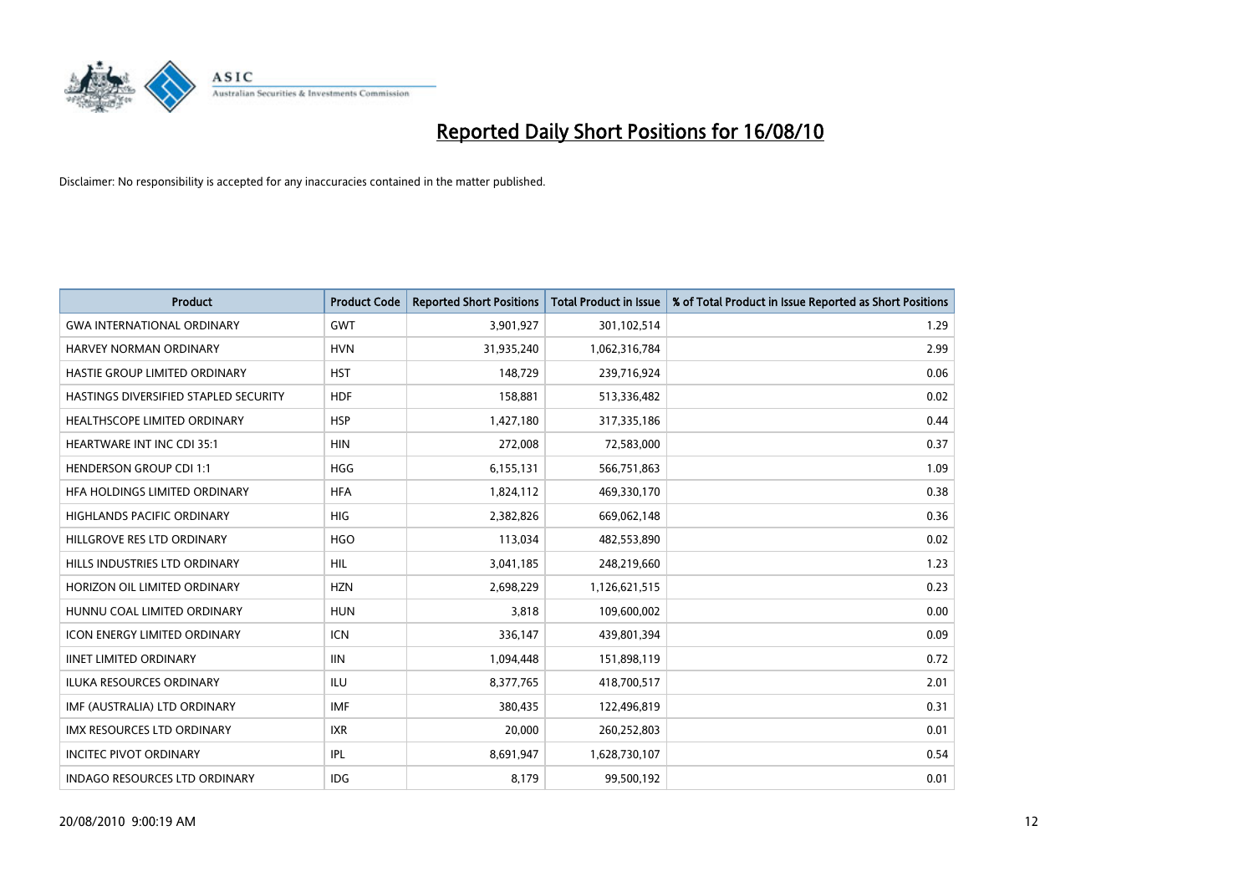

| <b>Product</b>                        | <b>Product Code</b> | <b>Reported Short Positions</b> | <b>Total Product in Issue</b> | % of Total Product in Issue Reported as Short Positions |
|---------------------------------------|---------------------|---------------------------------|-------------------------------|---------------------------------------------------------|
| <b>GWA INTERNATIONAL ORDINARY</b>     | <b>GWT</b>          | 3,901,927                       | 301,102,514                   | 1.29                                                    |
| HARVEY NORMAN ORDINARY                | <b>HVN</b>          | 31,935,240                      | 1,062,316,784                 | 2.99                                                    |
| HASTIE GROUP LIMITED ORDINARY         | <b>HST</b>          | 148,729                         | 239,716,924                   | 0.06                                                    |
| HASTINGS DIVERSIFIED STAPLED SECURITY | <b>HDF</b>          | 158,881                         | 513,336,482                   | 0.02                                                    |
| HEALTHSCOPE LIMITED ORDINARY          | <b>HSP</b>          | 1,427,180                       | 317,335,186                   | 0.44                                                    |
| <b>HEARTWARE INT INC CDI 35:1</b>     | <b>HIN</b>          | 272,008                         | 72,583,000                    | 0.37                                                    |
| <b>HENDERSON GROUP CDI 1:1</b>        | <b>HGG</b>          | 6,155,131                       | 566,751,863                   | 1.09                                                    |
| HFA HOLDINGS LIMITED ORDINARY         | <b>HFA</b>          | 1,824,112                       | 469,330,170                   | 0.38                                                    |
| HIGHLANDS PACIFIC ORDINARY            | <b>HIG</b>          | 2,382,826                       | 669,062,148                   | 0.36                                                    |
| HILLGROVE RES LTD ORDINARY            | <b>HGO</b>          | 113,034                         | 482,553,890                   | 0.02                                                    |
| HILLS INDUSTRIES LTD ORDINARY         | <b>HIL</b>          | 3,041,185                       | 248,219,660                   | 1.23                                                    |
| HORIZON OIL LIMITED ORDINARY          | <b>HZN</b>          | 2,698,229                       | 1,126,621,515                 | 0.23                                                    |
| HUNNU COAL LIMITED ORDINARY           | <b>HUN</b>          | 3.818                           | 109,600,002                   | 0.00                                                    |
| <b>ICON ENERGY LIMITED ORDINARY</b>   | <b>ICN</b>          | 336,147                         | 439,801,394                   | 0.09                                                    |
| <b>IINET LIMITED ORDINARY</b>         | IIIN                | 1,094,448                       | 151,898,119                   | 0.72                                                    |
| <b>ILUKA RESOURCES ORDINARY</b>       | <b>ILU</b>          | 8,377,765                       | 418,700,517                   | 2.01                                                    |
| IMF (AUSTRALIA) LTD ORDINARY          | <b>IMF</b>          | 380,435                         | 122,496,819                   | 0.31                                                    |
| IMX RESOURCES LTD ORDINARY            | <b>IXR</b>          | 20,000                          | 260,252,803                   | 0.01                                                    |
| <b>INCITEC PIVOT ORDINARY</b>         | IPL                 | 8,691,947                       | 1,628,730,107                 | 0.54                                                    |
| <b>INDAGO RESOURCES LTD ORDINARY</b>  | <b>IDG</b>          | 8,179                           | 99,500,192                    | 0.01                                                    |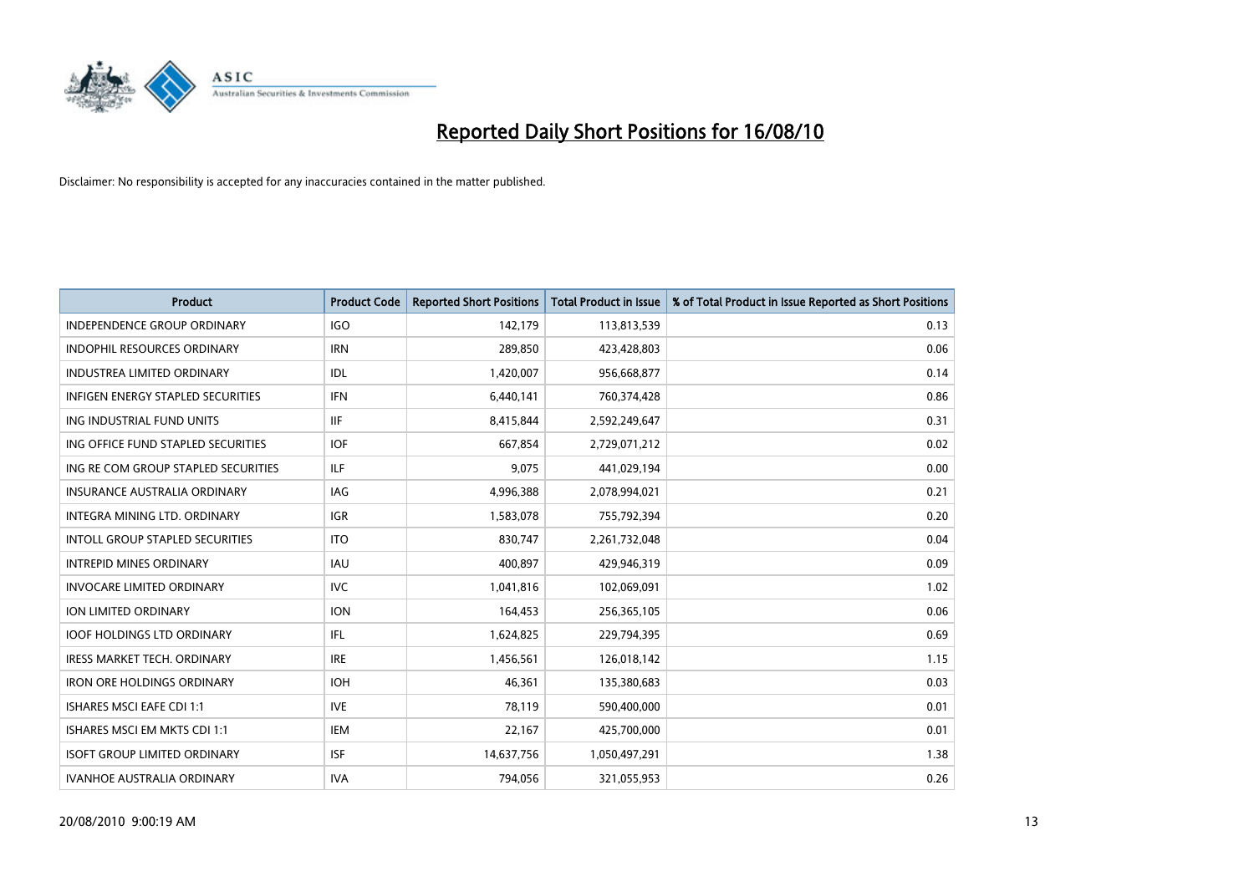

| <b>Product</b>                           | <b>Product Code</b> | <b>Reported Short Positions</b> | Total Product in Issue | % of Total Product in Issue Reported as Short Positions |
|------------------------------------------|---------------------|---------------------------------|------------------------|---------------------------------------------------------|
| <b>INDEPENDENCE GROUP ORDINARY</b>       | <b>IGO</b>          | 142,179                         | 113,813,539            | 0.13                                                    |
| <b>INDOPHIL RESOURCES ORDINARY</b>       | <b>IRN</b>          | 289.850                         | 423,428,803            | 0.06                                                    |
| <b>INDUSTREA LIMITED ORDINARY</b>        | IDL                 | 1,420,007                       | 956,668,877            | 0.14                                                    |
| <b>INFIGEN ENERGY STAPLED SECURITIES</b> | <b>IFN</b>          | 6,440,141                       | 760,374,428            | 0.86                                                    |
| ING INDUSTRIAL FUND UNITS                | <b>IIF</b>          | 8,415,844                       | 2,592,249,647          | 0.31                                                    |
| ING OFFICE FUND STAPLED SECURITIES       | <b>IOF</b>          | 667,854                         | 2,729,071,212          | 0.02                                                    |
| ING RE COM GROUP STAPLED SECURITIES      | <b>ILF</b>          | 9.075                           | 441,029,194            | 0.00                                                    |
| <b>INSURANCE AUSTRALIA ORDINARY</b>      | <b>IAG</b>          | 4,996,388                       | 2,078,994,021          | 0.21                                                    |
| INTEGRA MINING LTD. ORDINARY             | <b>IGR</b>          | 1,583,078                       | 755,792,394            | 0.20                                                    |
| <b>INTOLL GROUP STAPLED SECURITIES</b>   | <b>ITO</b>          | 830.747                         | 2,261,732,048          | 0.04                                                    |
| <b>INTREPID MINES ORDINARY</b>           | <b>IAU</b>          | 400,897                         | 429,946,319            | 0.09                                                    |
| <b>INVOCARE LIMITED ORDINARY</b>         | <b>IVC</b>          | 1,041,816                       | 102,069,091            | 1.02                                                    |
| <b>ION LIMITED ORDINARY</b>              | <b>ION</b>          | 164,453                         | 256,365,105            | 0.06                                                    |
| <b>IOOF HOLDINGS LTD ORDINARY</b>        | <b>IFL</b>          | 1,624,825                       | 229,794,395            | 0.69                                                    |
| <b>IRESS MARKET TECH. ORDINARY</b>       | <b>IRE</b>          | 1,456,561                       | 126,018,142            | 1.15                                                    |
| <b>IRON ORE HOLDINGS ORDINARY</b>        | <b>IOH</b>          | 46.361                          | 135,380,683            | 0.03                                                    |
| <b>ISHARES MSCI EAFE CDI 1:1</b>         | <b>IVE</b>          | 78,119                          | 590,400,000            | 0.01                                                    |
| ISHARES MSCI EM MKTS CDI 1:1             | <b>IEM</b>          | 22,167                          | 425,700,000            | 0.01                                                    |
| <b>ISOFT GROUP LIMITED ORDINARY</b>      | <b>ISF</b>          | 14,637,756                      | 1,050,497,291          | 1.38                                                    |
| <b>IVANHOE AUSTRALIA ORDINARY</b>        | <b>IVA</b>          | 794.056                         | 321,055,953            | 0.26                                                    |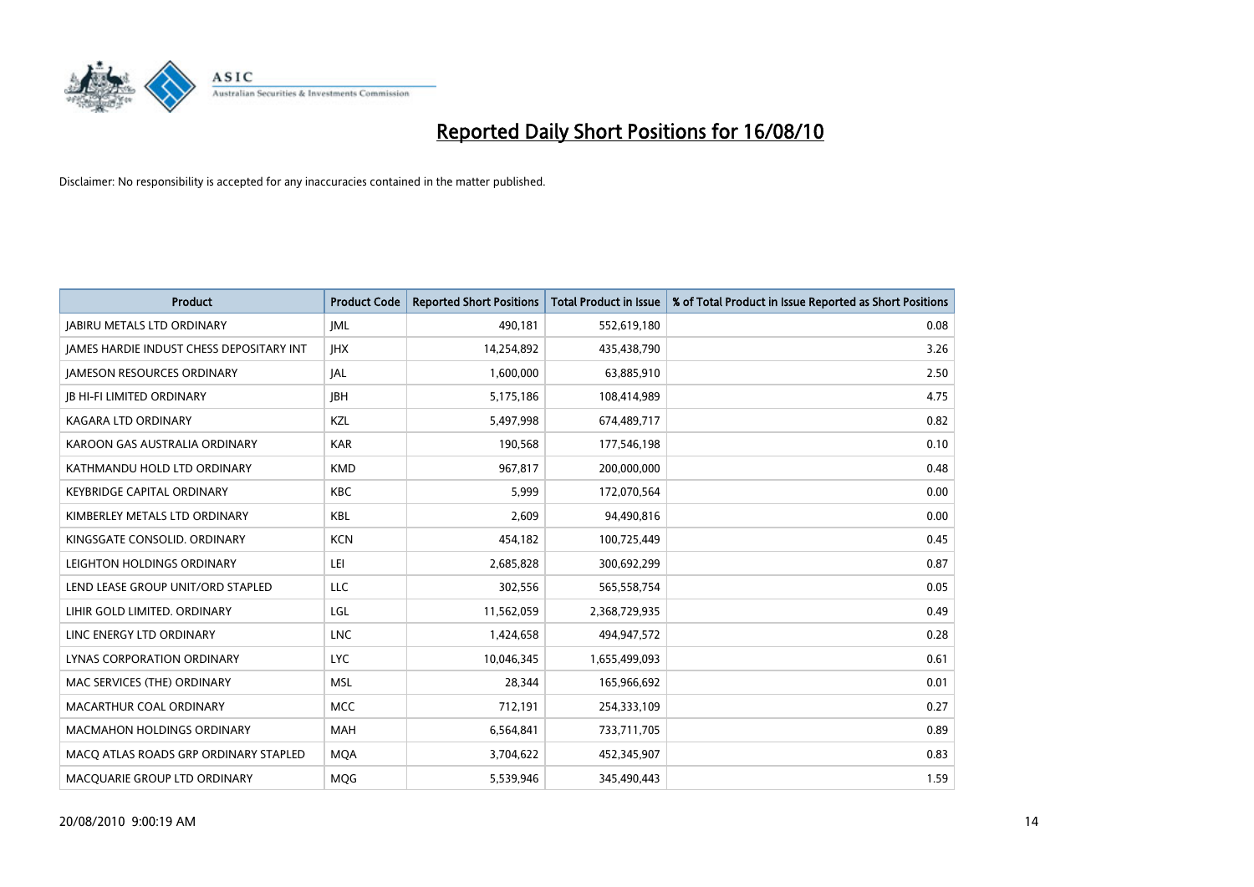

| <b>Product</b>                                  | <b>Product Code</b> | <b>Reported Short Positions</b> | <b>Total Product in Issue</b> | % of Total Product in Issue Reported as Short Positions |
|-------------------------------------------------|---------------------|---------------------------------|-------------------------------|---------------------------------------------------------|
| <b>JABIRU METALS LTD ORDINARY</b>               | <b>JML</b>          | 490,181                         | 552,619,180                   | 0.08                                                    |
| <b>JAMES HARDIE INDUST CHESS DEPOSITARY INT</b> | <b>IHX</b>          | 14,254,892                      | 435,438,790                   | 3.26                                                    |
| <b>JAMESON RESOURCES ORDINARY</b>               | JAL                 | 1,600,000                       | 63,885,910                    | 2.50                                                    |
| <b>JB HI-FI LIMITED ORDINARY</b>                | <b>IBH</b>          | 5,175,186                       | 108,414,989                   | 4.75                                                    |
| <b>KAGARA LTD ORDINARY</b>                      | KZL                 | 5,497,998                       | 674,489,717                   | 0.82                                                    |
| KAROON GAS AUSTRALIA ORDINARY                   | <b>KAR</b>          | 190,568                         | 177,546,198                   | 0.10                                                    |
| KATHMANDU HOLD LTD ORDINARY                     | <b>KMD</b>          | 967,817                         | 200,000,000                   | 0.48                                                    |
| <b>KEYBRIDGE CAPITAL ORDINARY</b>               | <b>KBC</b>          | 5,999                           | 172,070,564                   | 0.00                                                    |
| KIMBERLEY METALS LTD ORDINARY                   | <b>KBL</b>          | 2,609                           | 94,490,816                    | 0.00                                                    |
| KINGSGATE CONSOLID, ORDINARY                    | <b>KCN</b>          | 454,182                         | 100,725,449                   | 0.45                                                    |
| LEIGHTON HOLDINGS ORDINARY                      | LEI                 | 2,685,828                       | 300,692,299                   | 0.87                                                    |
| LEND LEASE GROUP UNIT/ORD STAPLED               | LLC                 | 302,556                         | 565,558,754                   | 0.05                                                    |
| LIHIR GOLD LIMITED. ORDINARY                    | LGL                 | 11,562,059                      | 2,368,729,935                 | 0.49                                                    |
| LINC ENERGY LTD ORDINARY                        | <b>LNC</b>          | 1,424,658                       | 494,947,572                   | 0.28                                                    |
| LYNAS CORPORATION ORDINARY                      | <b>LYC</b>          | 10,046,345                      | 1,655,499,093                 | 0.61                                                    |
| MAC SERVICES (THE) ORDINARY                     | <b>MSL</b>          | 28,344                          | 165,966,692                   | 0.01                                                    |
| MACARTHUR COAL ORDINARY                         | <b>MCC</b>          | 712,191                         | 254,333,109                   | 0.27                                                    |
| <b>MACMAHON HOLDINGS ORDINARY</b>               | <b>MAH</b>          | 6,564,841                       | 733,711,705                   | 0.89                                                    |
| MACO ATLAS ROADS GRP ORDINARY STAPLED           | <b>MOA</b>          | 3,704,622                       | 452,345,907                   | 0.83                                                    |
| MACQUARIE GROUP LTD ORDINARY                    | <b>MOG</b>          | 5.539.946                       | 345,490,443                   | 1.59                                                    |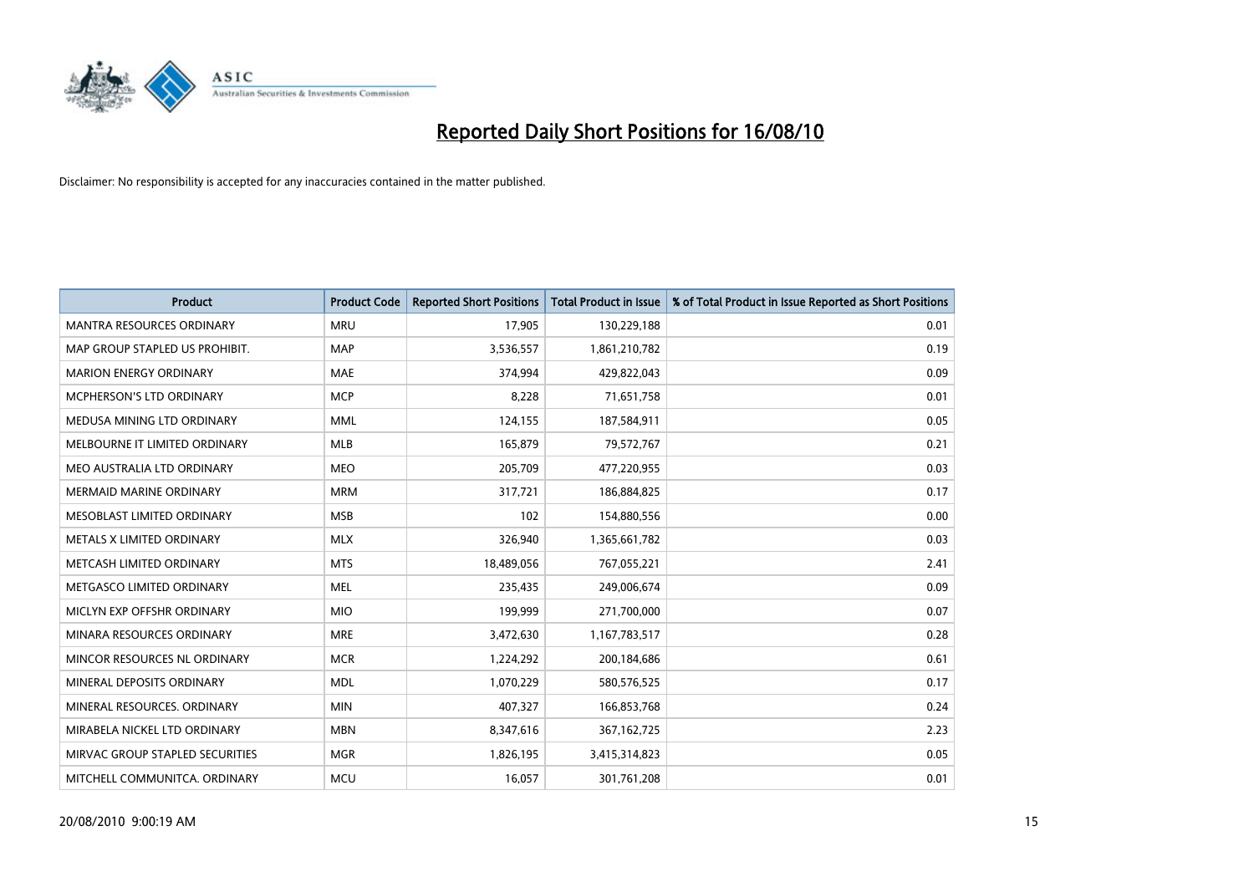

| <b>Product</b>                   | <b>Product Code</b> | <b>Reported Short Positions</b> | Total Product in Issue | % of Total Product in Issue Reported as Short Positions |
|----------------------------------|---------------------|---------------------------------|------------------------|---------------------------------------------------------|
| <b>MANTRA RESOURCES ORDINARY</b> | <b>MRU</b>          | 17,905                          | 130,229,188            | 0.01                                                    |
| MAP GROUP STAPLED US PROHIBIT.   | <b>MAP</b>          | 3,536,557                       | 1,861,210,782          | 0.19                                                    |
| <b>MARION ENERGY ORDINARY</b>    | MAE                 | 374,994                         | 429,822,043            | 0.09                                                    |
| <b>MCPHERSON'S LTD ORDINARY</b>  | <b>MCP</b>          | 8,228                           | 71,651,758             | 0.01                                                    |
| MEDUSA MINING LTD ORDINARY       | <b>MML</b>          | 124,155                         | 187,584,911            | 0.05                                                    |
| MELBOURNE IT LIMITED ORDINARY    | <b>MLB</b>          | 165,879                         | 79,572,767             | 0.21                                                    |
| MEO AUSTRALIA LTD ORDINARY       | <b>MEO</b>          | 205,709                         | 477,220,955            | 0.03                                                    |
| MERMAID MARINE ORDINARY          | <b>MRM</b>          | 317,721                         | 186,884,825            | 0.17                                                    |
| MESOBLAST LIMITED ORDINARY       | <b>MSB</b>          | 102                             | 154,880,556            | 0.00                                                    |
| METALS X LIMITED ORDINARY        | <b>MLX</b>          | 326,940                         | 1,365,661,782          | 0.03                                                    |
| METCASH LIMITED ORDINARY         | <b>MTS</b>          | 18,489,056                      | 767,055,221            | 2.41                                                    |
| METGASCO LIMITED ORDINARY        | <b>MEL</b>          | 235,435                         | 249,006,674            | 0.09                                                    |
| MICLYN EXP OFFSHR ORDINARY       | <b>MIO</b>          | 199,999                         | 271,700,000            | 0.07                                                    |
| MINARA RESOURCES ORDINARY        | <b>MRE</b>          | 3,472,630                       | 1,167,783,517          | 0.28                                                    |
| MINCOR RESOURCES NL ORDINARY     | <b>MCR</b>          | 1,224,292                       | 200,184,686            | 0.61                                                    |
| MINERAL DEPOSITS ORDINARY        | <b>MDL</b>          | 1,070,229                       | 580,576,525            | 0.17                                                    |
| MINERAL RESOURCES. ORDINARY      | <b>MIN</b>          | 407,327                         | 166,853,768            | 0.24                                                    |
| MIRABELA NICKEL LTD ORDINARY     | <b>MBN</b>          | 8,347,616                       | 367, 162, 725          | 2.23                                                    |
| MIRVAC GROUP STAPLED SECURITIES  | <b>MGR</b>          | 1,826,195                       | 3,415,314,823          | 0.05                                                    |
| MITCHELL COMMUNITCA, ORDINARY    | <b>MCU</b>          | 16,057                          | 301,761,208            | 0.01                                                    |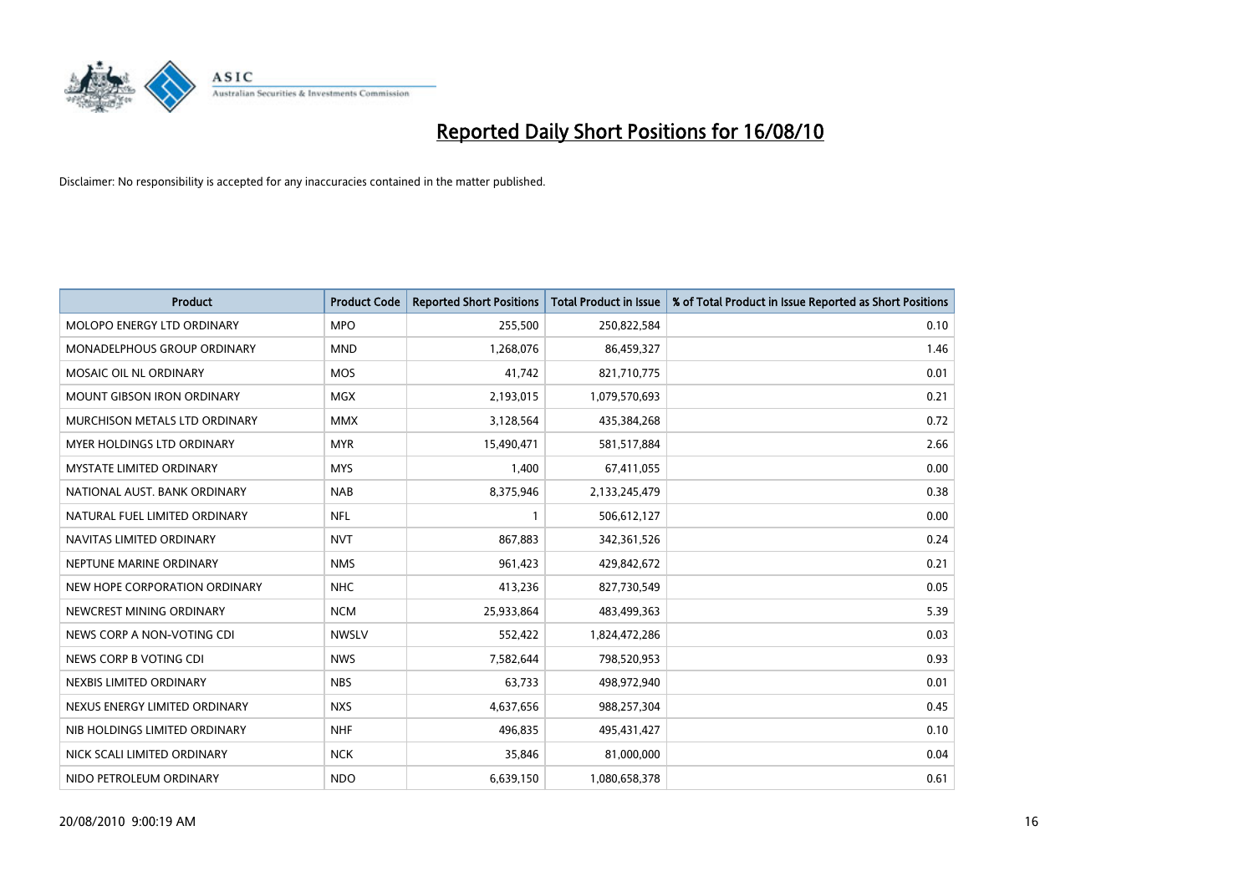

| <b>Product</b>                | <b>Product Code</b> | <b>Reported Short Positions</b> | <b>Total Product in Issue</b> | % of Total Product in Issue Reported as Short Positions |
|-------------------------------|---------------------|---------------------------------|-------------------------------|---------------------------------------------------------|
| MOLOPO ENERGY LTD ORDINARY    | <b>MPO</b>          | 255,500                         | 250,822,584                   | 0.10                                                    |
| MONADELPHOUS GROUP ORDINARY   | <b>MND</b>          | 1,268,076                       | 86,459,327                    | 1.46                                                    |
| MOSAIC OIL NL ORDINARY        | <b>MOS</b>          | 41,742                          | 821,710,775                   | 0.01                                                    |
| MOUNT GIBSON IRON ORDINARY    | <b>MGX</b>          | 2,193,015                       | 1,079,570,693                 | 0.21                                                    |
| MURCHISON METALS LTD ORDINARY | <b>MMX</b>          | 3,128,564                       | 435,384,268                   | 0.72                                                    |
| MYER HOLDINGS LTD ORDINARY    | <b>MYR</b>          | 15,490,471                      | 581,517,884                   | 2.66                                                    |
| MYSTATE LIMITED ORDINARY      | <b>MYS</b>          | 1,400                           | 67,411,055                    | 0.00                                                    |
| NATIONAL AUST, BANK ORDINARY  | <b>NAB</b>          | 8,375,946                       | 2,133,245,479                 | 0.38                                                    |
| NATURAL FUEL LIMITED ORDINARY | <b>NFL</b>          |                                 | 506,612,127                   | 0.00                                                    |
| NAVITAS LIMITED ORDINARY      | <b>NVT</b>          | 867,883                         | 342,361,526                   | 0.24                                                    |
| NEPTUNE MARINE ORDINARY       | <b>NMS</b>          | 961,423                         | 429,842,672                   | 0.21                                                    |
| NEW HOPE CORPORATION ORDINARY | <b>NHC</b>          | 413,236                         | 827,730,549                   | 0.05                                                    |
| NEWCREST MINING ORDINARY      | <b>NCM</b>          | 25,933,864                      | 483,499,363                   | 5.39                                                    |
| NEWS CORP A NON-VOTING CDI    | <b>NWSLV</b>        | 552,422                         | 1,824,472,286                 | 0.03                                                    |
| NEWS CORP B VOTING CDI        | <b>NWS</b>          | 7,582,644                       | 798,520,953                   | 0.93                                                    |
| NEXBIS LIMITED ORDINARY       | <b>NBS</b>          | 63,733                          | 498,972,940                   | 0.01                                                    |
| NEXUS ENERGY LIMITED ORDINARY | <b>NXS</b>          | 4,637,656                       | 988,257,304                   | 0.45                                                    |
| NIB HOLDINGS LIMITED ORDINARY | <b>NHF</b>          | 496,835                         | 495,431,427                   | 0.10                                                    |
| NICK SCALI LIMITED ORDINARY   | <b>NCK</b>          | 35,846                          | 81,000,000                    | 0.04                                                    |
| NIDO PETROLEUM ORDINARY       | <b>NDO</b>          | 6,639,150                       | 1,080,658,378                 | 0.61                                                    |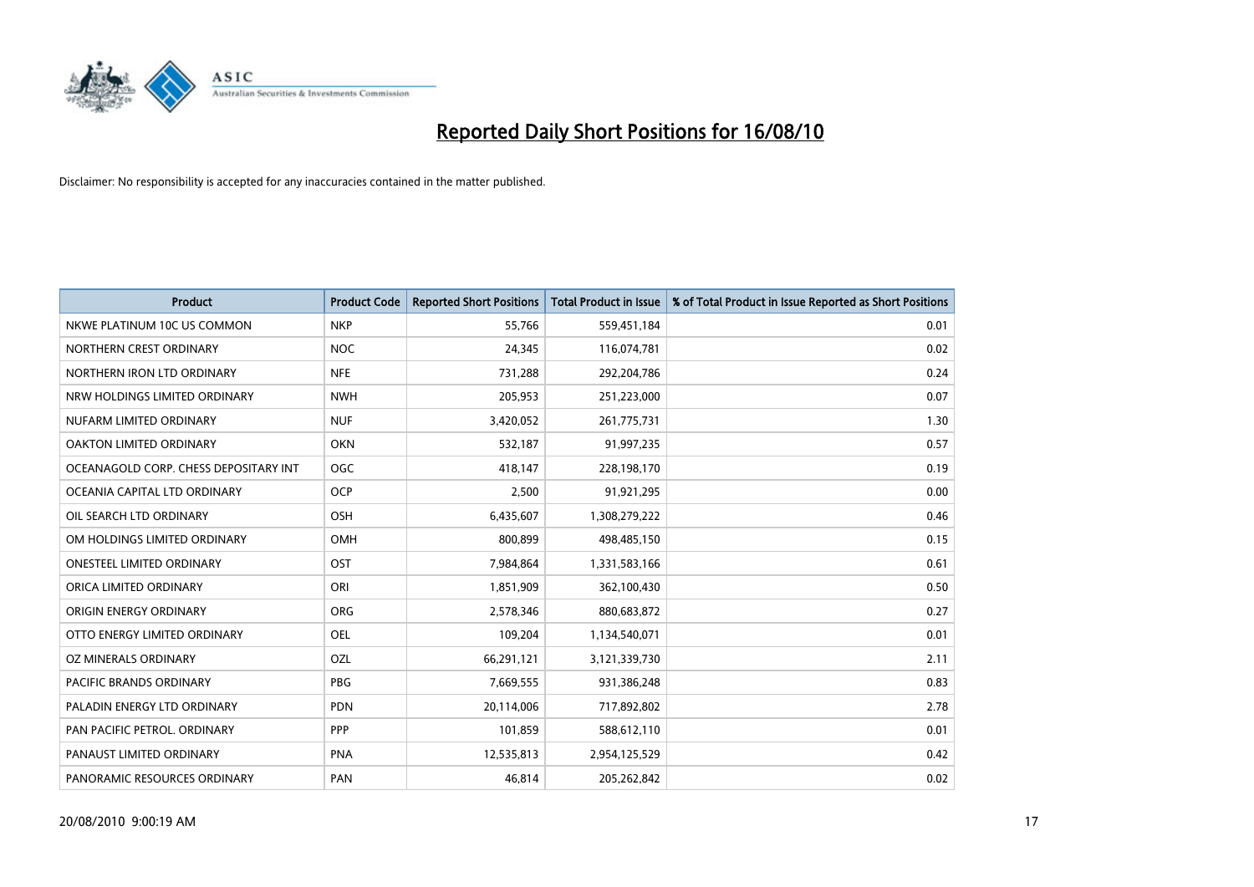

| <b>Product</b>                        | <b>Product Code</b> | <b>Reported Short Positions</b> | <b>Total Product in Issue</b> | % of Total Product in Issue Reported as Short Positions |
|---------------------------------------|---------------------|---------------------------------|-------------------------------|---------------------------------------------------------|
| NKWE PLATINUM 10C US COMMON           | <b>NKP</b>          | 55,766                          | 559,451,184                   | 0.01                                                    |
| NORTHERN CREST ORDINARY               | <b>NOC</b>          | 24,345                          | 116,074,781                   | 0.02                                                    |
| NORTHERN IRON LTD ORDINARY            | <b>NFE</b>          | 731,288                         | 292,204,786                   | 0.24                                                    |
| NRW HOLDINGS LIMITED ORDINARY         | <b>NWH</b>          | 205,953                         | 251,223,000                   | 0.07                                                    |
| NUFARM LIMITED ORDINARY               | <b>NUF</b>          | 3,420,052                       | 261,775,731                   | 1.30                                                    |
| <b>OAKTON LIMITED ORDINARY</b>        | <b>OKN</b>          | 532,187                         | 91,997,235                    | 0.57                                                    |
| OCEANAGOLD CORP. CHESS DEPOSITARY INT | <b>OGC</b>          | 418.147                         | 228,198,170                   | 0.19                                                    |
| OCEANIA CAPITAL LTD ORDINARY          | <b>OCP</b>          | 2,500                           | 91,921,295                    | 0.00                                                    |
| OIL SEARCH LTD ORDINARY               | OSH                 | 6,435,607                       | 1,308,279,222                 | 0.46                                                    |
| OM HOLDINGS LIMITED ORDINARY          | OMH                 | 800.899                         | 498,485,150                   | 0.15                                                    |
| <b>ONESTEEL LIMITED ORDINARY</b>      | OST                 | 7,984,864                       | 1,331,583,166                 | 0.61                                                    |
| ORICA LIMITED ORDINARY                | ORI                 | 1,851,909                       | 362,100,430                   | 0.50                                                    |
| ORIGIN ENERGY ORDINARY                | <b>ORG</b>          | 2,578,346                       | 880,683,872                   | 0.27                                                    |
| OTTO ENERGY LIMITED ORDINARY          | <b>OEL</b>          | 109,204                         | 1,134,540,071                 | 0.01                                                    |
| OZ MINERALS ORDINARY                  | OZL                 | 66,291,121                      | 3,121,339,730                 | 2.11                                                    |
| <b>PACIFIC BRANDS ORDINARY</b>        | <b>PBG</b>          | 7,669,555                       | 931,386,248                   | 0.83                                                    |
| PALADIN ENERGY LTD ORDINARY           | <b>PDN</b>          | 20,114,006                      | 717,892,802                   | 2.78                                                    |
| PAN PACIFIC PETROL. ORDINARY          | PPP                 | 101,859                         | 588,612,110                   | 0.01                                                    |
| PANAUST LIMITED ORDINARY              | <b>PNA</b>          | 12,535,813                      | 2,954,125,529                 | 0.42                                                    |
| PANORAMIC RESOURCES ORDINARY          | PAN                 | 46.814                          | 205,262,842                   | 0.02                                                    |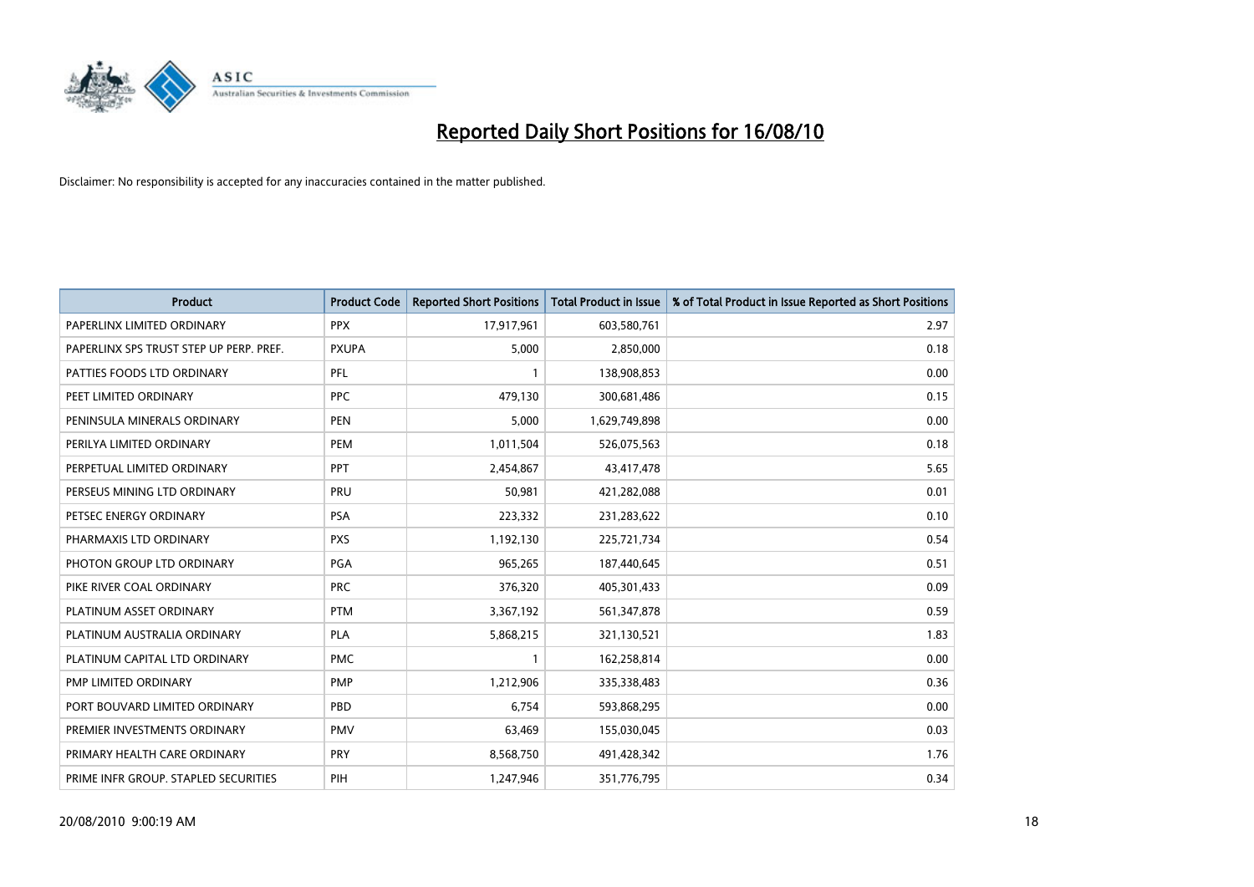

| <b>Product</b>                          | <b>Product Code</b> | <b>Reported Short Positions</b> | <b>Total Product in Issue</b> | % of Total Product in Issue Reported as Short Positions |
|-----------------------------------------|---------------------|---------------------------------|-------------------------------|---------------------------------------------------------|
| PAPERLINX LIMITED ORDINARY              | <b>PPX</b>          | 17,917,961                      | 603,580,761                   | 2.97                                                    |
| PAPERLINX SPS TRUST STEP UP PERP. PREF. | <b>PXUPA</b>        | 5,000                           | 2,850,000                     | 0.18                                                    |
| PATTIES FOODS LTD ORDINARY              | PFL                 |                                 | 138,908,853                   | 0.00                                                    |
| PEET LIMITED ORDINARY                   | <b>PPC</b>          | 479,130                         | 300,681,486                   | 0.15                                                    |
| PENINSULA MINERALS ORDINARY             | <b>PEN</b>          | 5,000                           | 1,629,749,898                 | 0.00                                                    |
| PERILYA LIMITED ORDINARY                | PEM                 | 1,011,504                       | 526,075,563                   | 0.18                                                    |
| PERPETUAL LIMITED ORDINARY              | PPT                 | 2,454,867                       | 43,417,478                    | 5.65                                                    |
| PERSEUS MINING LTD ORDINARY             | PRU                 | 50,981                          | 421,282,088                   | 0.01                                                    |
| PETSEC ENERGY ORDINARY                  | <b>PSA</b>          | 223,332                         | 231,283,622                   | 0.10                                                    |
| PHARMAXIS LTD ORDINARY                  | <b>PXS</b>          | 1,192,130                       | 225,721,734                   | 0.54                                                    |
| PHOTON GROUP LTD ORDINARY               | PGA                 | 965,265                         | 187,440,645                   | 0.51                                                    |
| PIKE RIVER COAL ORDINARY                | <b>PRC</b>          | 376,320                         | 405,301,433                   | 0.09                                                    |
| PLATINUM ASSET ORDINARY                 | <b>PTM</b>          | 3,367,192                       | 561,347,878                   | 0.59                                                    |
| PLATINUM AUSTRALIA ORDINARY             | PLA                 | 5,868,215                       | 321,130,521                   | 1.83                                                    |
| PLATINUM CAPITAL LTD ORDINARY           | <b>PMC</b>          |                                 | 162,258,814                   | 0.00                                                    |
| PMP LIMITED ORDINARY                    | <b>PMP</b>          | 1,212,906                       | 335,338,483                   | 0.36                                                    |
| PORT BOUVARD LIMITED ORDINARY           | PBD                 | 6,754                           | 593,868,295                   | 0.00                                                    |
| PREMIER INVESTMENTS ORDINARY            | <b>PMV</b>          | 63,469                          | 155,030,045                   | 0.03                                                    |
| PRIMARY HEALTH CARE ORDINARY            | <b>PRY</b>          | 8,568,750                       | 491,428,342                   | 1.76                                                    |
| PRIME INFR GROUP. STAPLED SECURITIES    | PIH                 | 1,247,946                       | 351,776,795                   | 0.34                                                    |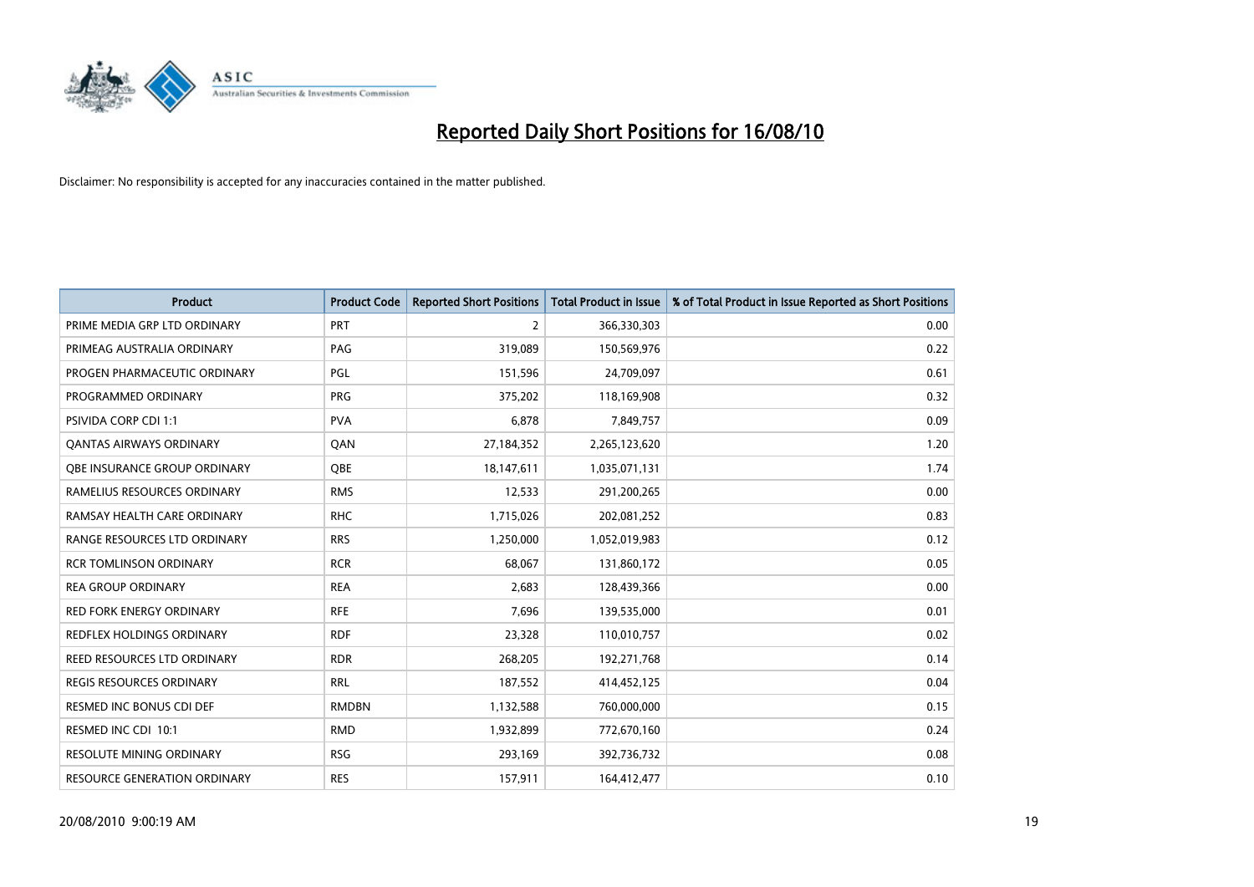

| <b>Product</b>                  | <b>Product Code</b> | <b>Reported Short Positions</b> | Total Product in Issue | % of Total Product in Issue Reported as Short Positions |
|---------------------------------|---------------------|---------------------------------|------------------------|---------------------------------------------------------|
| PRIME MEDIA GRP LTD ORDINARY    | <b>PRT</b>          | 2                               | 366,330,303            | 0.00                                                    |
| PRIMEAG AUSTRALIA ORDINARY      | PAG                 | 319,089                         | 150,569,976            | 0.22                                                    |
| PROGEN PHARMACEUTIC ORDINARY    | PGL                 | 151,596                         | 24,709,097             | 0.61                                                    |
| PROGRAMMED ORDINARY             | <b>PRG</b>          | 375,202                         | 118,169,908            | 0.32                                                    |
| PSIVIDA CORP CDI 1:1            | <b>PVA</b>          | 6,878                           | 7,849,757              | 0.09                                                    |
| <b>QANTAS AIRWAYS ORDINARY</b>  | QAN                 | 27,184,352                      | 2,265,123,620          | 1.20                                                    |
| OBE INSURANCE GROUP ORDINARY    | OBE                 | 18,147,611                      | 1,035,071,131          | 1.74                                                    |
| RAMELIUS RESOURCES ORDINARY     | <b>RMS</b>          | 12,533                          | 291,200,265            | 0.00                                                    |
| RAMSAY HEALTH CARE ORDINARY     | <b>RHC</b>          | 1,715,026                       | 202,081,252            | 0.83                                                    |
| RANGE RESOURCES LTD ORDINARY    | <b>RRS</b>          | 1,250,000                       | 1,052,019,983          | 0.12                                                    |
| <b>RCR TOMLINSON ORDINARY</b>   | <b>RCR</b>          | 68,067                          | 131,860,172            | 0.05                                                    |
| <b>REA GROUP ORDINARY</b>       | <b>REA</b>          | 2,683                           | 128,439,366            | 0.00                                                    |
| RED FORK ENERGY ORDINARY        | <b>RFE</b>          | 7,696                           | 139,535,000            | 0.01                                                    |
| REDFLEX HOLDINGS ORDINARY       | <b>RDF</b>          | 23,328                          | 110,010,757            | 0.02                                                    |
| REED RESOURCES LTD ORDINARY     | <b>RDR</b>          | 268,205                         | 192,271,768            | 0.14                                                    |
| <b>REGIS RESOURCES ORDINARY</b> | <b>RRL</b>          | 187,552                         | 414,452,125            | 0.04                                                    |
| RESMED INC BONUS CDI DEF        | <b>RMDBN</b>        | 1,132,588                       | 760,000,000            | 0.15                                                    |
| RESMED INC CDI 10:1             | <b>RMD</b>          | 1,932,899                       | 772,670,160            | 0.24                                                    |
| <b>RESOLUTE MINING ORDINARY</b> | <b>RSG</b>          | 293,169                         | 392,736,732            | 0.08                                                    |
| RESOURCE GENERATION ORDINARY    | <b>RES</b>          | 157,911                         | 164,412,477            | 0.10                                                    |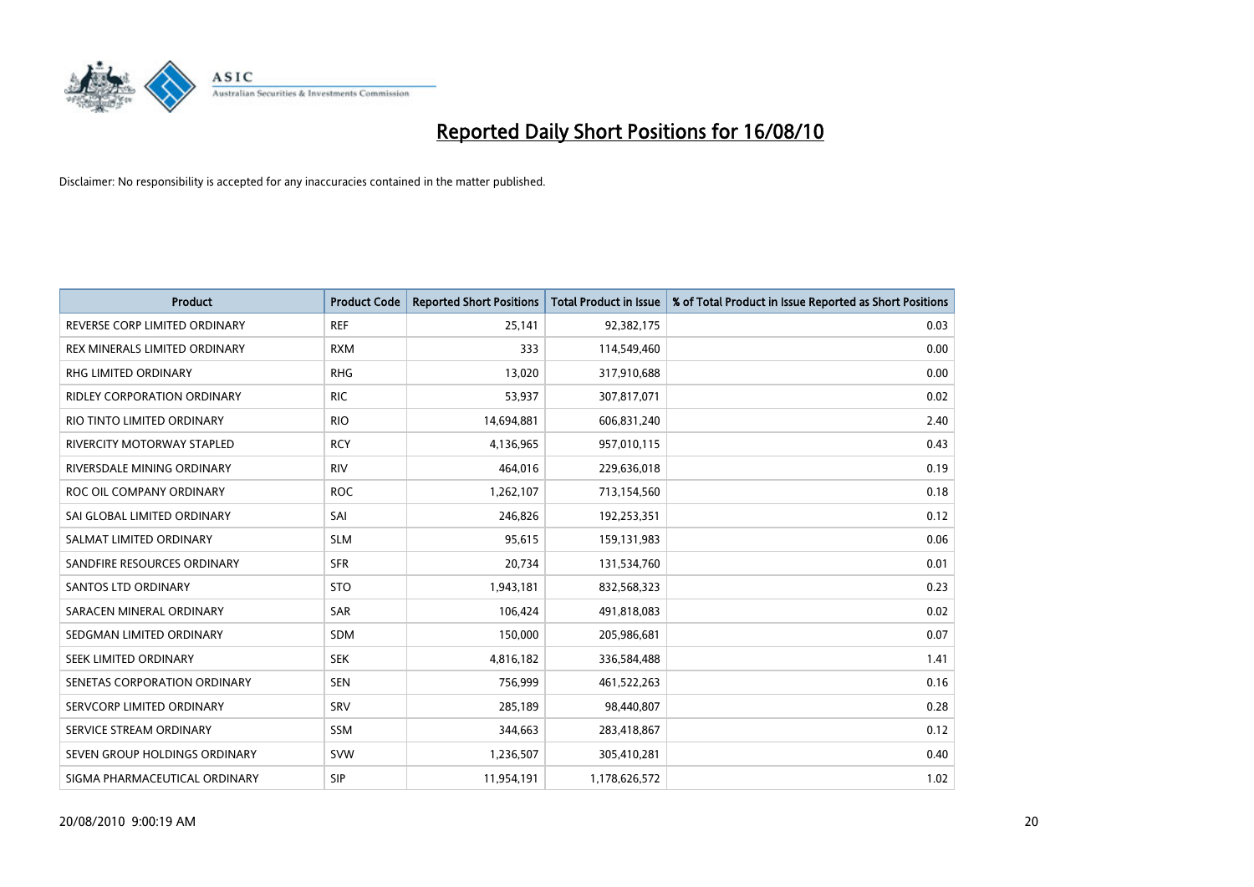

| <b>Product</b>                     | <b>Product Code</b> | <b>Reported Short Positions</b> | <b>Total Product in Issue</b> | % of Total Product in Issue Reported as Short Positions |
|------------------------------------|---------------------|---------------------------------|-------------------------------|---------------------------------------------------------|
| REVERSE CORP LIMITED ORDINARY      | <b>REF</b>          | 25,141                          | 92,382,175                    | 0.03                                                    |
| REX MINERALS LIMITED ORDINARY      | <b>RXM</b>          | 333                             | 114,549,460                   | 0.00                                                    |
| <b>RHG LIMITED ORDINARY</b>        | <b>RHG</b>          | 13,020                          | 317,910,688                   | 0.00                                                    |
| <b>RIDLEY CORPORATION ORDINARY</b> | <b>RIC</b>          | 53,937                          | 307,817,071                   | 0.02                                                    |
| RIO TINTO LIMITED ORDINARY         | <b>RIO</b>          | 14,694,881                      | 606,831,240                   | 2.40                                                    |
| <b>RIVERCITY MOTORWAY STAPLED</b>  | <b>RCY</b>          | 4,136,965                       | 957,010,115                   | 0.43                                                    |
| RIVERSDALE MINING ORDINARY         | <b>RIV</b>          | 464,016                         | 229,636,018                   | 0.19                                                    |
| ROC OIL COMPANY ORDINARY           | <b>ROC</b>          | 1,262,107                       | 713,154,560                   | 0.18                                                    |
| SAI GLOBAL LIMITED ORDINARY        | SAI                 | 246,826                         | 192,253,351                   | 0.12                                                    |
| SALMAT LIMITED ORDINARY            | <b>SLM</b>          | 95,615                          | 159,131,983                   | 0.06                                                    |
| SANDFIRE RESOURCES ORDINARY        | <b>SFR</b>          | 20,734                          | 131,534,760                   | 0.01                                                    |
| <b>SANTOS LTD ORDINARY</b>         | <b>STO</b>          | 1,943,181                       | 832,568,323                   | 0.23                                                    |
| SARACEN MINERAL ORDINARY           | SAR                 | 106,424                         | 491,818,083                   | 0.02                                                    |
| SEDGMAN LIMITED ORDINARY           | SDM                 | 150,000                         | 205,986,681                   | 0.07                                                    |
| SEEK LIMITED ORDINARY              | <b>SEK</b>          | 4,816,182                       | 336,584,488                   | 1.41                                                    |
| SENETAS CORPORATION ORDINARY       | <b>SEN</b>          | 756,999                         | 461,522,263                   | 0.16                                                    |
| SERVCORP LIMITED ORDINARY          | SRV                 | 285,189                         | 98,440,807                    | 0.28                                                    |
| SERVICE STREAM ORDINARY            | <b>SSM</b>          | 344,663                         | 283,418,867                   | 0.12                                                    |
| SEVEN GROUP HOLDINGS ORDINARY      | <b>SVW</b>          | 1,236,507                       | 305,410,281                   | 0.40                                                    |
| SIGMA PHARMACEUTICAL ORDINARY      | <b>SIP</b>          | 11,954,191                      | 1,178,626,572                 | 1.02                                                    |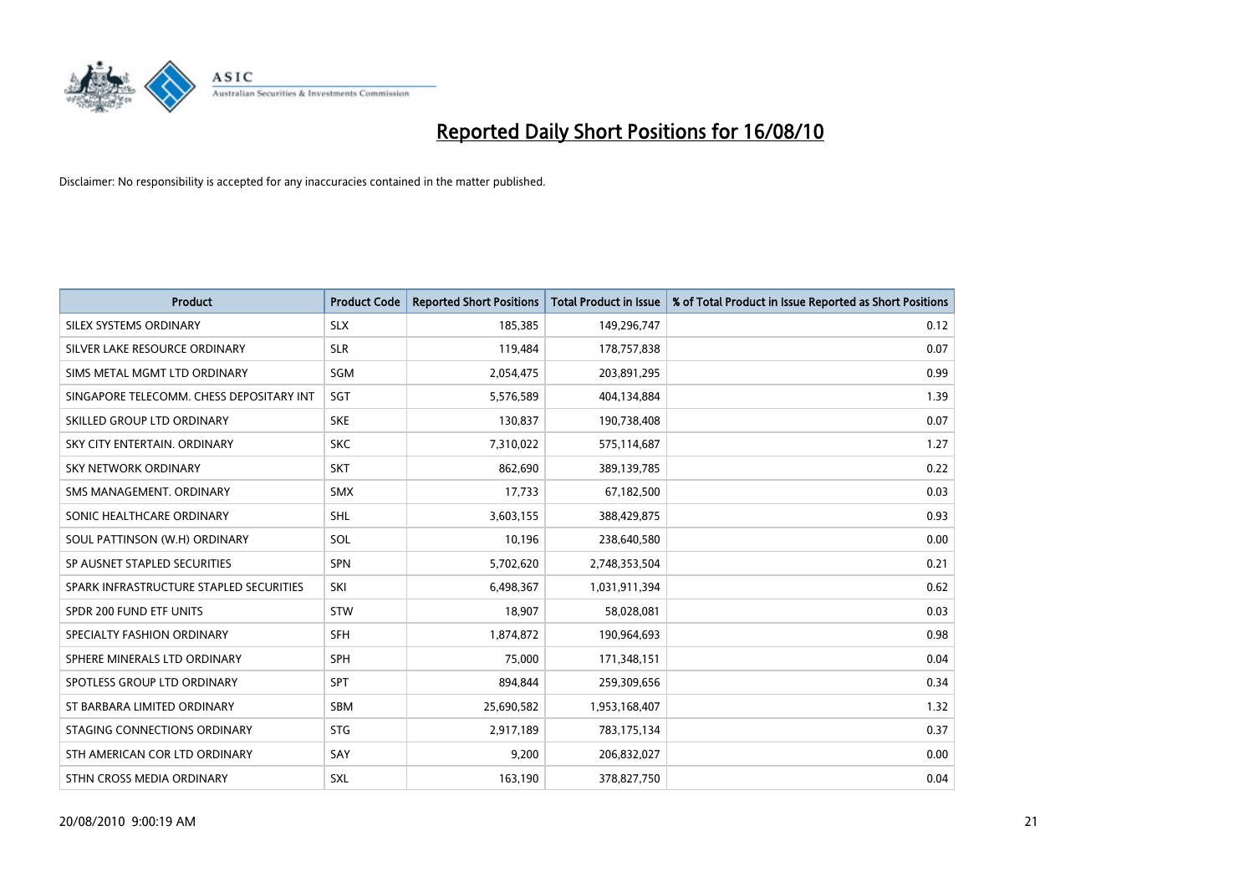

| <b>Product</b>                           | <b>Product Code</b> | <b>Reported Short Positions</b> | Total Product in Issue | % of Total Product in Issue Reported as Short Positions |
|------------------------------------------|---------------------|---------------------------------|------------------------|---------------------------------------------------------|
| SILEX SYSTEMS ORDINARY                   | <b>SLX</b>          | 185,385                         | 149,296,747            | 0.12                                                    |
| SILVER LAKE RESOURCE ORDINARY            | <b>SLR</b>          | 119,484                         | 178,757,838            | 0.07                                                    |
| SIMS METAL MGMT LTD ORDINARY             | SGM                 | 2,054,475                       | 203,891,295            | 0.99                                                    |
| SINGAPORE TELECOMM. CHESS DEPOSITARY INT | SGT                 | 5,576,589                       | 404,134,884            | 1.39                                                    |
| SKILLED GROUP LTD ORDINARY               | <b>SKE</b>          | 130,837                         | 190,738,408            | 0.07                                                    |
| SKY CITY ENTERTAIN, ORDINARY             | <b>SKC</b>          | 7,310,022                       | 575,114,687            | 1.27                                                    |
| <b>SKY NETWORK ORDINARY</b>              | <b>SKT</b>          | 862.690                         | 389,139,785            | 0.22                                                    |
| SMS MANAGEMENT, ORDINARY                 | <b>SMX</b>          | 17,733                          | 67,182,500             | 0.03                                                    |
| SONIC HEALTHCARE ORDINARY                | <b>SHL</b>          | 3,603,155                       | 388,429,875            | 0.93                                                    |
| SOUL PATTINSON (W.H) ORDINARY            | SOL                 | 10,196                          | 238,640,580            | 0.00                                                    |
| SP AUSNET STAPLED SECURITIES             | <b>SPN</b>          | 5,702,620                       | 2,748,353,504          | 0.21                                                    |
| SPARK INFRASTRUCTURE STAPLED SECURITIES  | SKI                 | 6,498,367                       | 1,031,911,394          | 0.62                                                    |
| SPDR 200 FUND ETF UNITS                  | <b>STW</b>          | 18.907                          | 58,028,081             | 0.03                                                    |
| SPECIALTY FASHION ORDINARY               | <b>SFH</b>          | 1,874,872                       | 190,964,693            | 0.98                                                    |
| SPHERE MINERALS LTD ORDINARY             | <b>SPH</b>          | 75,000                          | 171,348,151            | 0.04                                                    |
| SPOTLESS GROUP LTD ORDINARY              | <b>SPT</b>          | 894.844                         | 259,309,656            | 0.34                                                    |
| ST BARBARA LIMITED ORDINARY              | SBM                 | 25,690,582                      | 1,953,168,407          | 1.32                                                    |
| STAGING CONNECTIONS ORDINARY             | <b>STG</b>          | 2,917,189                       | 783,175,134            | 0.37                                                    |
| STH AMERICAN COR LTD ORDINARY            | SAY                 | 9,200                           | 206,832,027            | 0.00                                                    |
| STHN CROSS MEDIA ORDINARY                | <b>SXL</b>          | 163,190                         | 378,827,750            | 0.04                                                    |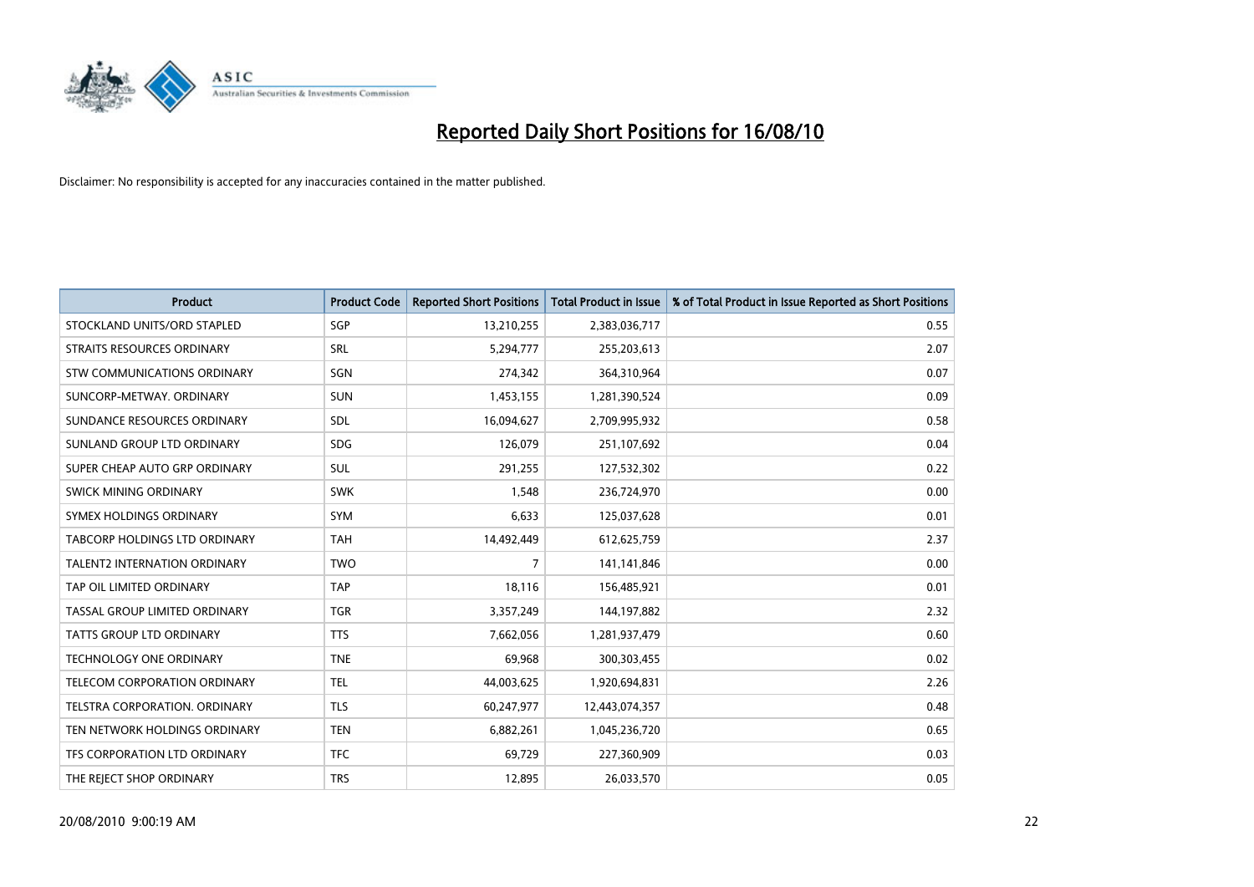

| <b>Product</b>                      | <b>Product Code</b> | <b>Reported Short Positions</b> | <b>Total Product in Issue</b> | % of Total Product in Issue Reported as Short Positions |
|-------------------------------------|---------------------|---------------------------------|-------------------------------|---------------------------------------------------------|
| STOCKLAND UNITS/ORD STAPLED         | SGP                 | 13,210,255                      | 2,383,036,717                 | 0.55                                                    |
| STRAITS RESOURCES ORDINARY          | SRL                 | 5,294,777                       | 255,203,613                   | 2.07                                                    |
| STW COMMUNICATIONS ORDINARY         | SGN                 | 274,342                         | 364,310,964                   | 0.07                                                    |
| SUNCORP-METWAY, ORDINARY            | <b>SUN</b>          | 1,453,155                       | 1,281,390,524                 | 0.09                                                    |
| SUNDANCE RESOURCES ORDINARY         | <b>SDL</b>          | 16,094,627                      | 2,709,995,932                 | 0.58                                                    |
| SUNLAND GROUP LTD ORDINARY          | <b>SDG</b>          | 126,079                         | 251,107,692                   | 0.04                                                    |
| SUPER CHEAP AUTO GRP ORDINARY       | <b>SUL</b>          | 291,255                         | 127,532,302                   | 0.22                                                    |
| SWICK MINING ORDINARY               | <b>SWK</b>          | 1,548                           | 236,724,970                   | 0.00                                                    |
| SYMEX HOLDINGS ORDINARY             | SYM                 | 6,633                           | 125,037,628                   | 0.01                                                    |
| TABCORP HOLDINGS LTD ORDINARY       | <b>TAH</b>          | 14,492,449                      | 612,625,759                   | 2.37                                                    |
| <b>TALENT2 INTERNATION ORDINARY</b> | <b>TWO</b>          | 7                               | 141,141,846                   | 0.00                                                    |
| TAP OIL LIMITED ORDINARY            | <b>TAP</b>          | 18,116                          | 156,485,921                   | 0.01                                                    |
| TASSAL GROUP LIMITED ORDINARY       | <b>TGR</b>          | 3,357,249                       | 144,197,882                   | 2.32                                                    |
| <b>TATTS GROUP LTD ORDINARY</b>     | <b>TTS</b>          | 7,662,056                       | 1,281,937,479                 | 0.60                                                    |
| <b>TECHNOLOGY ONE ORDINARY</b>      | <b>TNE</b>          | 69,968                          | 300,303,455                   | 0.02                                                    |
| TELECOM CORPORATION ORDINARY        | <b>TEL</b>          | 44,003,625                      | 1,920,694,831                 | 2.26                                                    |
| TELSTRA CORPORATION, ORDINARY       | <b>TLS</b>          | 60,247,977                      | 12,443,074,357                | 0.48                                                    |
| TEN NETWORK HOLDINGS ORDINARY       | <b>TEN</b>          | 6,882,261                       | 1,045,236,720                 | 0.65                                                    |
| TFS CORPORATION LTD ORDINARY        | <b>TFC</b>          | 69,729                          | 227,360,909                   | 0.03                                                    |
| THE REJECT SHOP ORDINARY            | <b>TRS</b>          | 12,895                          | 26,033,570                    | 0.05                                                    |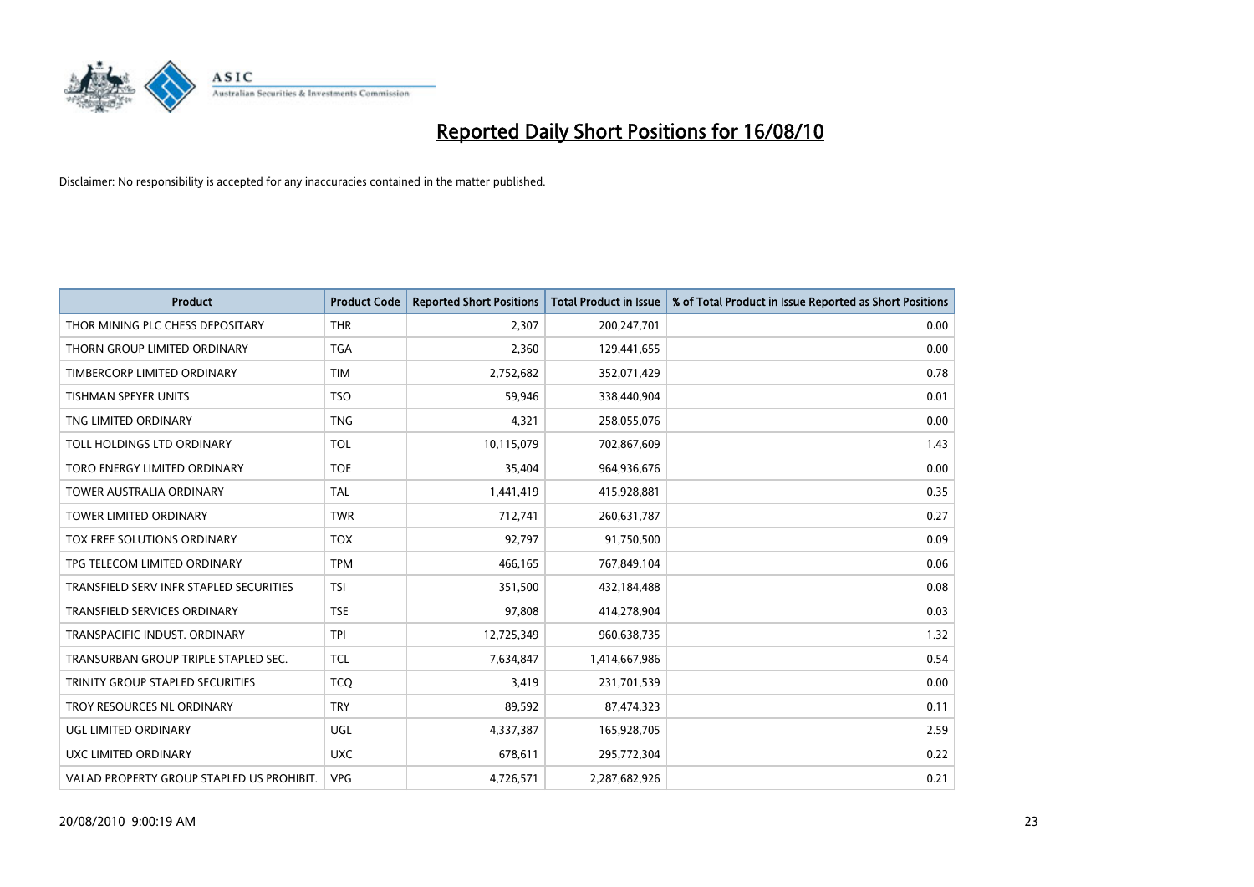

| <b>Product</b>                            | <b>Product Code</b> | <b>Reported Short Positions</b> | Total Product in Issue | % of Total Product in Issue Reported as Short Positions |
|-------------------------------------------|---------------------|---------------------------------|------------------------|---------------------------------------------------------|
| THOR MINING PLC CHESS DEPOSITARY          | <b>THR</b>          | 2,307                           | 200,247,701            | 0.00                                                    |
| THORN GROUP LIMITED ORDINARY              | <b>TGA</b>          | 2,360                           | 129,441,655            | 0.00                                                    |
| TIMBERCORP LIMITED ORDINARY               | <b>TIM</b>          | 2,752,682                       | 352,071,429            | 0.78                                                    |
| TISHMAN SPEYER UNITS                      | <b>TSO</b>          | 59,946                          | 338,440,904            | 0.01                                                    |
| TNG LIMITED ORDINARY                      | <b>TNG</b>          | 4,321                           | 258,055,076            | 0.00                                                    |
| TOLL HOLDINGS LTD ORDINARY                | <b>TOL</b>          | 10,115,079                      | 702,867,609            | 1.43                                                    |
| TORO ENERGY LIMITED ORDINARY              | <b>TOE</b>          | 35,404                          | 964,936,676            | 0.00                                                    |
| <b>TOWER AUSTRALIA ORDINARY</b>           | <b>TAL</b>          | 1,441,419                       | 415,928,881            | 0.35                                                    |
| TOWER LIMITED ORDINARY                    | <b>TWR</b>          | 712,741                         | 260,631,787            | 0.27                                                    |
| <b>TOX FREE SOLUTIONS ORDINARY</b>        | <b>TOX</b>          | 92,797                          | 91,750,500             | 0.09                                                    |
| TPG TELECOM LIMITED ORDINARY              | <b>TPM</b>          | 466,165                         | 767,849,104            | 0.06                                                    |
| TRANSFIELD SERV INFR STAPLED SECURITIES   | <b>TSI</b>          | 351,500                         | 432,184,488            | 0.08                                                    |
| <b>TRANSFIELD SERVICES ORDINARY</b>       | <b>TSE</b>          | 97.808                          | 414,278,904            | 0.03                                                    |
| TRANSPACIFIC INDUST, ORDINARY             | <b>TPI</b>          | 12,725,349                      | 960,638,735            | 1.32                                                    |
| TRANSURBAN GROUP TRIPLE STAPLED SEC.      | <b>TCL</b>          | 7,634,847                       | 1,414,667,986          | 0.54                                                    |
| TRINITY GROUP STAPLED SECURITIES          | <b>TCO</b>          | 3,419                           | 231,701,539            | 0.00                                                    |
| TROY RESOURCES NL ORDINARY                | <b>TRY</b>          | 89,592                          | 87,474,323             | 0.11                                                    |
| UGL LIMITED ORDINARY                      | UGL                 | 4,337,387                       | 165,928,705            | 2.59                                                    |
| <b>UXC LIMITED ORDINARY</b>               | <b>UXC</b>          | 678,611                         | 295,772,304            | 0.22                                                    |
| VALAD PROPERTY GROUP STAPLED US PROHIBIT. | <b>VPG</b>          | 4,726,571                       | 2,287,682,926          | 0.21                                                    |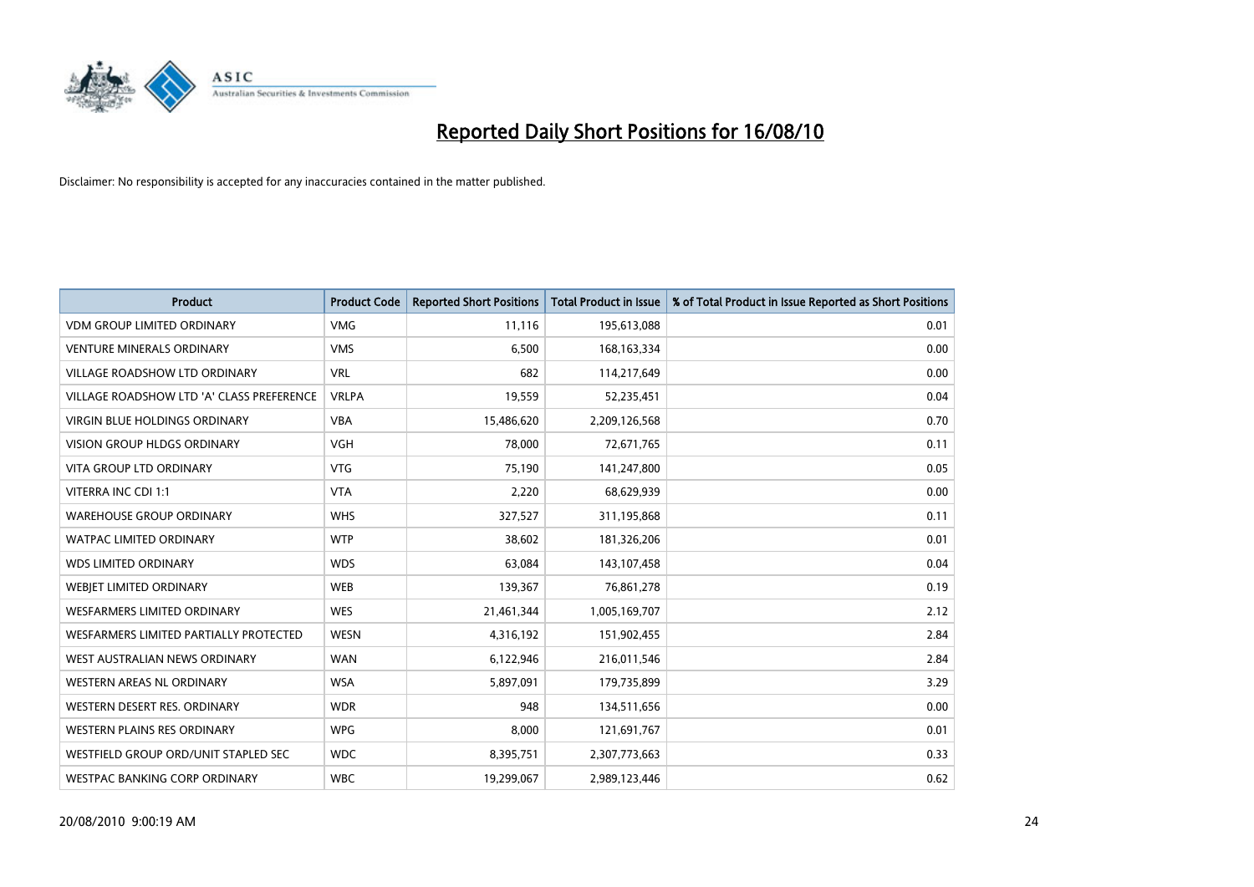

| <b>Product</b>                            | <b>Product Code</b> | <b>Reported Short Positions</b> | <b>Total Product in Issue</b> | % of Total Product in Issue Reported as Short Positions |
|-------------------------------------------|---------------------|---------------------------------|-------------------------------|---------------------------------------------------------|
| <b>VDM GROUP LIMITED ORDINARY</b>         | <b>VMG</b>          | 11,116                          | 195,613,088                   | 0.01                                                    |
| <b>VENTURE MINERALS ORDINARY</b>          | <b>VMS</b>          | 6,500                           | 168, 163, 334                 | 0.00                                                    |
| <b>VILLAGE ROADSHOW LTD ORDINARY</b>      | <b>VRL</b>          | 682                             | 114,217,649                   | 0.00                                                    |
| VILLAGE ROADSHOW LTD 'A' CLASS PREFERENCE | <b>VRLPA</b>        | 19,559                          | 52,235,451                    | 0.04                                                    |
| <b>VIRGIN BLUE HOLDINGS ORDINARY</b>      | <b>VBA</b>          | 15,486,620                      | 2,209,126,568                 | 0.70                                                    |
| <b>VISION GROUP HLDGS ORDINARY</b>        | <b>VGH</b>          | 78,000                          | 72,671,765                    | 0.11                                                    |
| <b>VITA GROUP LTD ORDINARY</b>            | <b>VTG</b>          | 75,190                          | 141,247,800                   | 0.05                                                    |
| VITERRA INC CDI 1:1                       | <b>VTA</b>          | 2,220                           | 68,629,939                    | 0.00                                                    |
| <b>WAREHOUSE GROUP ORDINARY</b>           | <b>WHS</b>          | 327,527                         | 311,195,868                   | 0.11                                                    |
| <b>WATPAC LIMITED ORDINARY</b>            | <b>WTP</b>          | 38,602                          | 181,326,206                   | 0.01                                                    |
| <b>WDS LIMITED ORDINARY</b>               | <b>WDS</b>          | 63,084                          | 143,107,458                   | 0.04                                                    |
| WEBIET LIMITED ORDINARY                   | <b>WEB</b>          | 139,367                         | 76,861,278                    | 0.19                                                    |
| <b>WESFARMERS LIMITED ORDINARY</b>        | <b>WES</b>          | 21,461,344                      | 1,005,169,707                 | 2.12                                                    |
| WESFARMERS LIMITED PARTIALLY PROTECTED    | <b>WESN</b>         | 4,316,192                       | 151,902,455                   | 2.84                                                    |
| WEST AUSTRALIAN NEWS ORDINARY             | <b>WAN</b>          | 6,122,946                       | 216,011,546                   | 2.84                                                    |
| WESTERN AREAS NL ORDINARY                 | <b>WSA</b>          | 5,897,091                       | 179,735,899                   | 3.29                                                    |
| WESTERN DESERT RES. ORDINARY              | <b>WDR</b>          | 948                             | 134,511,656                   | 0.00                                                    |
| WESTERN PLAINS RES ORDINARY               | <b>WPG</b>          | 8,000                           | 121,691,767                   | 0.01                                                    |
| WESTFIELD GROUP ORD/UNIT STAPLED SEC      | <b>WDC</b>          | 8,395,751                       | 2,307,773,663                 | 0.33                                                    |
| WESTPAC BANKING CORP ORDINARY             | <b>WBC</b>          | 19,299,067                      | 2,989,123,446                 | 0.62                                                    |